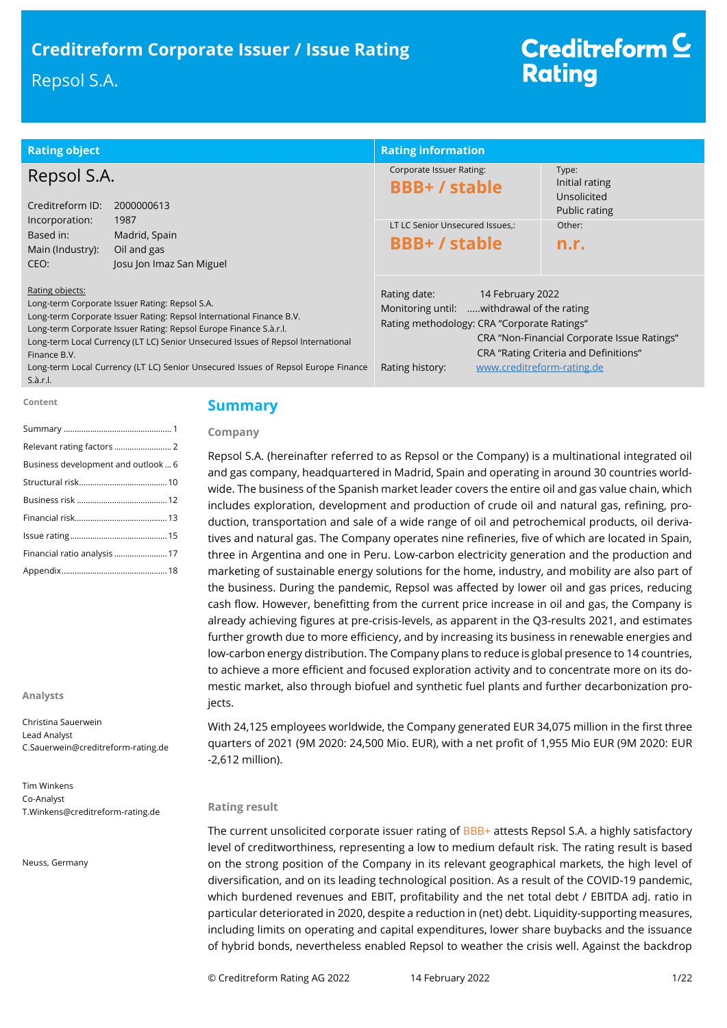# **Creditreform Corporate Issuer / Issue Rating**

# Repsol S.A.

# Creditreform<sup>C</sup> **Rating**

| <b>Rating object</b>                                                                                                                                                                                                                                                                                                                                                                                                | <b>Rating information</b>                                                                                                                                                      |                                                                                      |
|---------------------------------------------------------------------------------------------------------------------------------------------------------------------------------------------------------------------------------------------------------------------------------------------------------------------------------------------------------------------------------------------------------------------|--------------------------------------------------------------------------------------------------------------------------------------------------------------------------------|--------------------------------------------------------------------------------------|
| Repsol S.A.<br>Creditreform ID:<br>2000000613                                                                                                                                                                                                                                                                                                                                                                       | Corporate Issuer Rating:<br><b>BBB+/stable</b>                                                                                                                                 | Type:<br>Initial rating<br>Unsolicited<br>Public rating                              |
| Incorporation:<br>1987<br>Based in:<br>Madrid, Spain<br>Oil and gas<br>Main (Industry):<br>Josu Jon Imaz San Miguel<br>CEO:                                                                                                                                                                                                                                                                                         | LT LC Senior Unsecured Issues,:<br><b>BBB+/stable</b>                                                                                                                          | Other:<br>n.r.                                                                       |
| Rating objects:<br>Long-term Corporate Issuer Rating: Repsol S.A.<br>Long-term Corporate Issuer Rating: Repsol International Finance B.V.<br>Long-term Corporate Issuer Rating: Repsol Europe Finance S.à.r.l.<br>Long-term Local Currency (LT LC) Senior Unsecured Issues of Repsol International<br>Finance B.V.<br>Long-term Local Currency (LT LC) Senior Unsecured Issues of Repsol Europe Finance<br>S.à.r.l. | Rating date:<br>14 February 2022<br>Monitoring until: withdrawal of the rating<br>Rating methodology: CRA "Corporate Ratings"<br>www.creditreform-rating.de<br>Rating history: | CRA "Non-Financial Corporate Issue Ratings"<br>CRA "Rating Criteria and Definitions" |

#### **Content**

# **Summary**

**Company**

| Business development and outlook 6 |
|------------------------------------|
|                                    |
|                                    |
|                                    |
|                                    |
| Financial ratio analysis  17       |
|                                    |

#### **Analysts**

Christina Sauerwein Lead Analyst C.Sauerwein@creditreform-rating.de

Tim Winkens Co-Analyst T.Winkens@creditreform-rating.de

Neuss, Germany

# Repsol S.A. (hereinafter referred to as Repsol or the Company) is a multinational integrated oil

and gas company, headquartered in Madrid, Spain and operating in around 30 countries worldwide. The business of the Spanish market leader covers the entire oil and gas value chain, which includes exploration, development and production of crude oil and natural gas, refining, production, transportation and sale of a wide range of oil and petrochemical products, oil derivatives and natural gas. The Company operates nine refineries, five of which are located in Spain, three in Argentina and one in Peru. Low-carbon electricity generation and the production and marketing of sustainable energy solutions for the home, industry, and mobility are also part of the business. During the pandemic, Repsol was affected by lower oil and gas prices, reducing cash flow. However, benefitting from the current price increase in oil and gas, the Company is already achieving figures at pre-crisis-levels, as apparent in the Q3-results 2021, and estimates further growth due to more efficiency, and by increasing its business in renewable energies and low-carbon energy distribution. The Company plans to reduce is global presence to 14 countries, to achieve a more efficient and focused exploration activity and to concentrate more on its domestic market, also through biofuel and synthetic fuel plants and further decarbonization projects.

With 24,125 employees worldwide, the Company generated EUR 34,075 million in the first three quarters of 2021 (9M 2020: 24,500 Mio. EUR), with a net profit of 1,955 Mio EUR (9M 2020: EUR -2,612 million).

### **Rating result**

The current unsolicited corporate issuer rating of BBB+ attests Repsol S.A. a highly satisfactory level of creditworthiness, representing a low to medium default risk. The rating result is based on the strong position of the Company in its relevant geographical markets, the high level of diversification, and on its leading technological position. As a result of the COVID-19 pandemic, which burdened revenues and EBIT, profitability and the net total debt / EBITDA adj. ratio in particular deteriorated in 2020, despite a reduction in (net) debt. Liquidity-supporting measures, including limits on operating and capital expenditures, lower share buybacks and the issuance of hybrid bonds, nevertheless enabled Repsol to weather the crisis well. Against the backdrop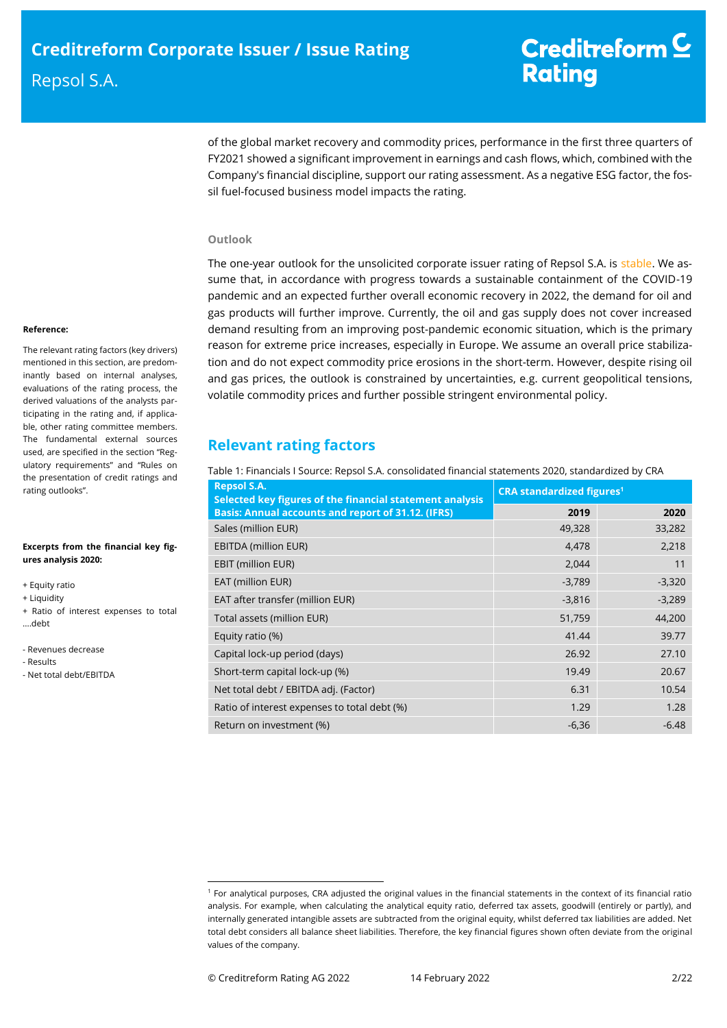of the global market recovery and commodity prices, performance in the first three quarters of FY2021 showed a significant improvement in earnings and cash flows, which, combined with the Company's financial discipline, support our rating assessment. As a negative ESG factor, the fossil fuel-focused business model impacts the rating.

### **Outlook**

The one-year outlook for the unsolicited corporate issuer rating of Repsol S.A. is stable. We assume that, in accordance with progress towards a sustainable containment of the COVID-19 pandemic and an expected further overall economic recovery in 2022, the demand for oil and gas products will further improve. Currently, the oil and gas supply does not cover increased demand resulting from an improving post-pandemic economic situation, which is the primary reason for extreme price increases, especially in Europe. We assume an overall price stabilization and do not expect commodity price erosions in the short-term. However, despite rising oil and gas prices, the outlook is constrained by uncertainties, e.g. current geopolitical tensions, volatile commodity prices and further possible stringent environmental policy.

# **Relevant rating factors**

Table 1: Financials I Source: Repsol S.A. consolidated financial statements 2020, standardized by CRA

| <b>Repsol S.A.</b><br>Selected key figures of the financial statement analysis | <b>CRA standardized figures<sup>1</sup></b> |          |  |
|--------------------------------------------------------------------------------|---------------------------------------------|----------|--|
| <b>Basis: Annual accounts and report of 31.12. (IFRS)</b>                      | 2019                                        | 2020     |  |
| Sales (million EUR)                                                            | 49,328                                      | 33,282   |  |
| <b>EBITDA (million EUR)</b>                                                    | 4,478                                       | 2,218    |  |
| <b>EBIT (million EUR)</b>                                                      | 2,044                                       | 11       |  |
| EAT (million EUR)                                                              | $-3,789$                                    | $-3,320$ |  |
| EAT after transfer (million EUR)                                               | $-3,816$                                    | $-3,289$ |  |
| Total assets (million EUR)                                                     | 51,759                                      | 44,200   |  |
| Equity ratio (%)                                                               | 41.44                                       | 39.77    |  |
| Capital lock-up period (days)                                                  | 26.92                                       | 27.10    |  |
| Short-term capital lock-up (%)                                                 | 19.49                                       | 20.67    |  |
| Net total debt / EBITDA adj. (Factor)                                          | 6.31                                        | 10.54    |  |
| Ratio of interest expenses to total debt (%)                                   | 1.29                                        | 1.28     |  |
| Return on investment (%)                                                       | $-6,36$                                     | $-6.48$  |  |

#### **Reference:**

The relevant rating factors (key drivers) mentioned in this section, are predominantly based on internal analyses, evaluations of the rating process, the derived valuations of the analysts participating in the rating and, if applicable, other rating committee members. The fundamental external sources used, are specified in the section "Regulatory requirements" and "Rules on the presentation of credit ratings and rating outlooks".

#### **Excerpts from the financial key figures analysis 2020:**

- + Equity ratio
- + Liquidity
- + Ratio of interest expenses to total ….debt
- Revenues decrease
- Results
- Net total debt/EBITDA

<sup>1</sup> For analytical purposes, CRA adjusted the original values in the financial statements in the context of its financial ratio analysis. For example, when calculating the analytical equity ratio, deferred tax assets, goodwill (entirely or partly), and internally generated intangible assets are subtracted from the original equity, whilst deferred tax liabilities are added. Net total debt considers all balance sheet liabilities. Therefore, the key financial figures shown often deviate from the original values of the company.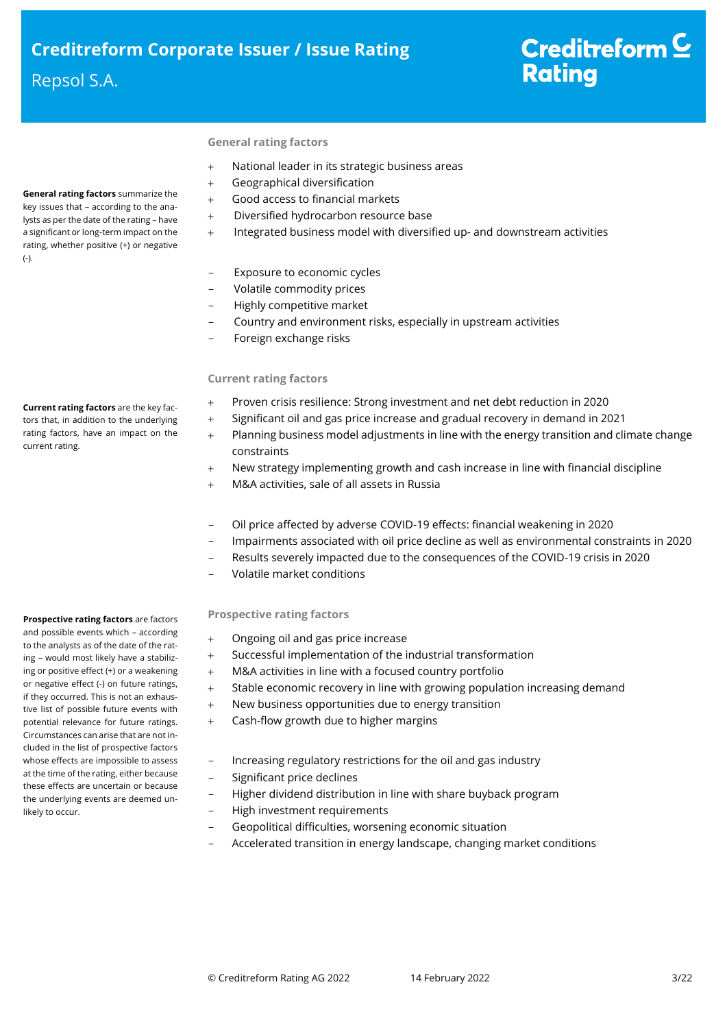# Repsol S.A.

(-).

**General rating factors** summarize the key issues that – according to the analysts as per the date of the rating – have a significant or long-term impact on the rating, whether positive (+) or negative

# Creditreform<sup>C</sup> **Rating**

## **General rating factors**

- National leader in its strategic business areas
- Geographical diversification
- Good access to financial markets
- Diversified hydrocarbon resource base
- + Integrated business model with diversified up- and downstream activities
- Exposure to economic cycles
- Volatile commodity prices
- Highly competitive market
- Country and environment risks, especially in upstream activities
- Foreign exchange risks

## **Current rating factors**

- Proven crisis resilience: Strong investment and net debt reduction in 2020
- Significant oil and gas price increase and gradual recovery in demand in 2021
- Planning business model adjustments in line with the energy transition and climate change constraints
- + New strategy implementing growth and cash increase in line with financial discipline
- M&A activities, sale of all assets in Russia
- Oil price affected by adverse COVID-19 effects: financial weakening in 2020
- Impairments associated with oil price decline as well as environmental constraints in 2020
- Results severely impacted due to the consequences of the COVID-19 crisis in 2020
- Volatile market conditions

# **Prospective rating factors**

- Ongoing oil and gas price increase
- Successful implementation of the industrial transformation
- M&A activities in line with a focused country portfolio
- + Stable economic recovery in line with growing population increasing demand
- New business opportunities due to energy transition
- Cash-flow growth due to higher margins
	- Increasing regulatory restrictions for the oil and gas industry
- Significant price declines
- Higher dividend distribution in line with share buyback program
- High investment requirements
	- Geopolitical difficulties, worsening economic situation
- Accelerated transition in energy landscape, changing market conditions

**Current rating factors** are the key factors that, in addition to the underlying rating factors, have an impact on the current rating.

#### and possible events which – according to the analysts as of the date of the rating – would most likely have a stabilizing or positive effect (+) or a weakening or negative effect (-) on future ratings, if they occurred. This is not an exhaustive list of possible future events with potential relevance for future ratings. Circumstances can arise that are not in-

**Prospective rating factors** are factors

cluded in the list of prospective factors whose effects are impossible to assess at the time of the rating, either because these effects are uncertain or because the underlying events are deemed unlikely to occur.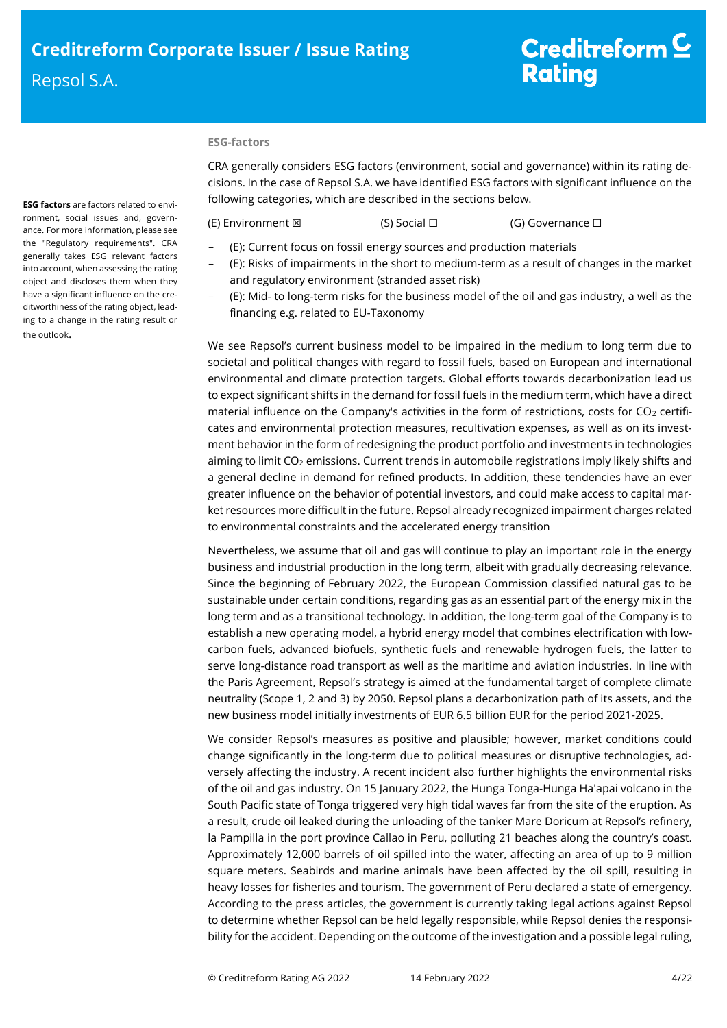# Creditreform  $C$ **Rating**

#### **ESG-factors**

CRA generally considers ESG factors (environment, social and governance) within its rating decisions. In the case of Repsol S.A. we have identified ESG factors with significant influence on the following categories, which are described in the sections below.

(E) Environment ⊠ (S) Social □ (G) Governance □

- (E): Current focus on fossil energy sources and production materials
- (E): Risks of impairments in the short to medium-term as a result of changes in the market and regulatory environment (stranded asset risk)
	- (E): Mid- to long-term risks for the business model of the oil and gas industry, a well as the financing e.g. related to EU-Taxonomy

We see Repsol's current business model to be impaired in the medium to long term due to societal and political changes with regard to fossil fuels, based on European and international environmental and climate protection targets. Global efforts towards decarbonization lead us to expect significant shifts in the demand for fossil fuels in the medium term, which have a direct material influence on the Company's activities in the form of restrictions, costs for  $CO<sub>2</sub>$  certificates and environmental protection measures, recultivation expenses, as well as on its investment behavior in the form of redesigning the product portfolio and investments in technologies aiming to limit CO<sub>2</sub> emissions. Current trends in automobile registrations imply likely shifts and a general decline in demand for refined products. In addition, these tendencies have an ever greater influence on the behavior of potential investors, and could make access to capital market resources more difficult in the future. Repsol already recognized impairment charges related to environmental constraints and the accelerated energy transition

Nevertheless, we assume that oil and gas will continue to play an important role in the energy business and industrial production in the long term, albeit with gradually decreasing relevance. Since the beginning of February 2022, the European Commission classified natural gas to be sustainable under certain conditions, regarding gas as an essential part of the energy mix in the long term and as a transitional technology. In addition, the long-term goal of the Company is to establish a new operating model, a hybrid energy model that combines electrification with lowcarbon fuels, advanced biofuels, synthetic fuels and renewable hydrogen fuels, the latter to serve long-distance road transport as well as the maritime and aviation industries. In line with the Paris Agreement, Repsol's strategy is aimed at the fundamental target of complete climate neutrality (Scope 1, 2 and 3) by 2050. Repsol plans a decarbonization path of its assets, and the new business model initially investments of EUR 6.5 billion EUR for the period 2021-2025.

We consider Repsol's measures as positive and plausible; however, market conditions could change significantly in the long-term due to political measures or disruptive technologies, adversely affecting the industry. A recent incident also further highlights the environmental risks of the oil and gas industry. On 15 January 2022, the Hunga Tonga-Hunga Ha'apai volcano in the South Pacific state of Tonga triggered very high tidal waves far from the site of the eruption. As a result, crude oil leaked during the unloading of the tanker Mare Doricum at Repsol's refinery, la Pampilla in the port province Callao in Peru, polluting 21 beaches along the country's coast. Approximately 12,000 barrels of oil spilled into the water, affecting an area of up to 9 million square meters. Seabirds and marine animals have been affected by the oil spill, resulting in heavy losses for fisheries and tourism. The government of Peru declared a state of emergency. According to the press articles, the government is currently taking legal actions against Repsol to determine whether Repsol can be held legally responsible, while Repsol denies the responsibility for the accident. Depending on the outcome of the investigation and a possible legal ruling,

**ESG factors** are factors related to environment, social issues and, governance. For more information, please see the "Regulatory requirements". CRA generally takes ESG relevant factors into account, when assessing the rating object and discloses them when they have a significant influence on the creditworthiness of the rating object, leading to a change in the rating result or the outlook.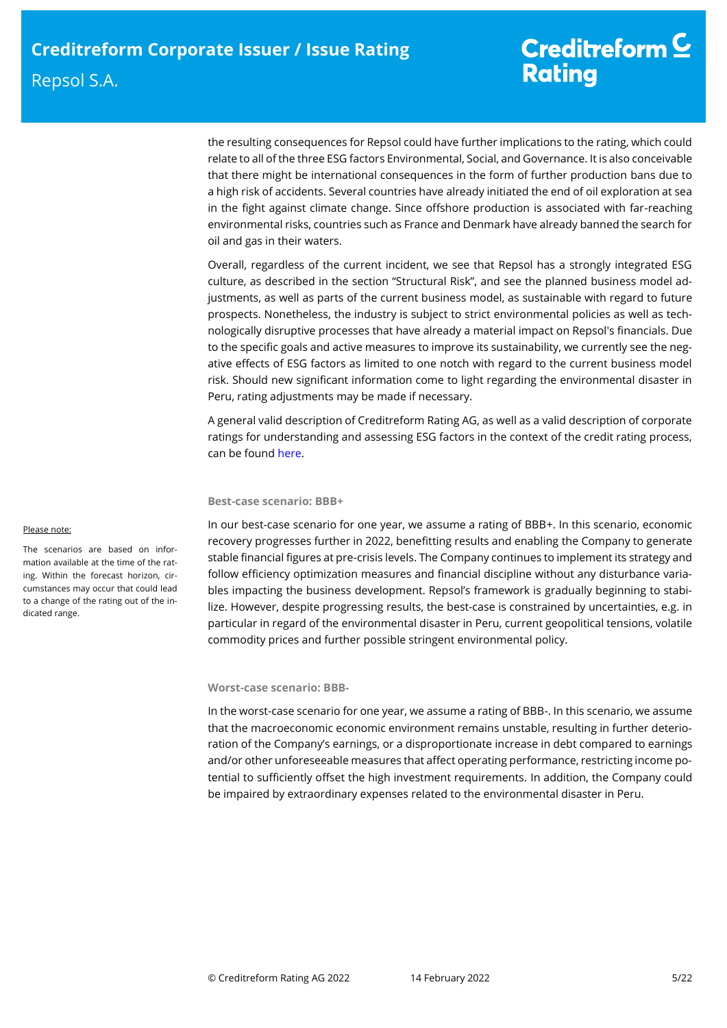the resulting consequences for Repsol could have further implications to the rating, which could relate to all of the three ESG factors Environmental, Social, and Governance. It is also conceivable that there might be international consequences in the form of further production bans due to a high risk of accidents. Several countries have already initiated the end of oil exploration at sea in the fight against climate change. Since offshore production is associated with far-reaching environmental risks, countries such as France and Denmark have already banned the search for oil and gas in their waters.

Overall, regardless of the current incident, we see that Repsol has a strongly integrated ESG culture, as described in the section "Structural Risk", and see the planned business model adjustments, as well as parts of the current business model, as sustainable with regard to future prospects. Nonetheless, the industry is subject to strict environmental policies as well as technologically disruptive processes that have already a material impact on Repsol's financials. Due to the specific goals and active measures to improve its sustainability, we currently see the negative effects of ESG factors as limited to one notch with regard to the current business model risk. Should new significant information come to light regarding the environmental disaster in Peru, rating adjustments may be made if necessary.

A general valid description of Creditreform Rating AG, as well as a valid description of corporate ratings for understanding and assessing ESG factors in the context of the credit rating process, can be found [here.](https://creditreform-rating.de/en/about-us/regulatory-requirements.html?file=files/content/downloads/Externes%20Rating/Regulatorische%20Anforderungen/EN/Ratingmethodiken%20EN/The%20Impact%20of%20ESG%20Factors%20on%20Credit%20Ratings.pdf)

### **Best-case scenario: BBB+**

In our best-case scenario for one year, we assume a rating of BBB+. In this scenario, economic recovery progresses further in 2022, benefitting results and enabling the Company to generate stable financial figures at pre-crisis levels. The Company continues to implement its strategy and follow efficiency optimization measures and financial discipline without any disturbance variables impacting the business development. Repsol's framework is gradually beginning to stabilize. However, despite progressing results, the best-case is constrained by uncertainties, e.g. in particular in regard of the environmental disaster in Peru, current geopolitical tensions, volatile commodity prices and further possible stringent environmental policy.

### **Worst-case scenario: BBB-**

In the worst-case scenario for one year, we assume a rating of BBB-. In this scenario, we assume that the macroeconomic economic environment remains unstable, resulting in further deterioration of the Company's earnings, or a disproportionate increase in debt compared to earnings and/or other unforeseeable measures that affect operating performance, restricting income potential to sufficiently offset the high investment requirements. In addition, the Company could be impaired by extraordinary expenses related to the environmental disaster in Peru.

#### Please note:

The scenarios are based on information available at the time of the rating. Within the forecast horizon, circumstances may occur that could lead to a change of the rating out of the indicated range.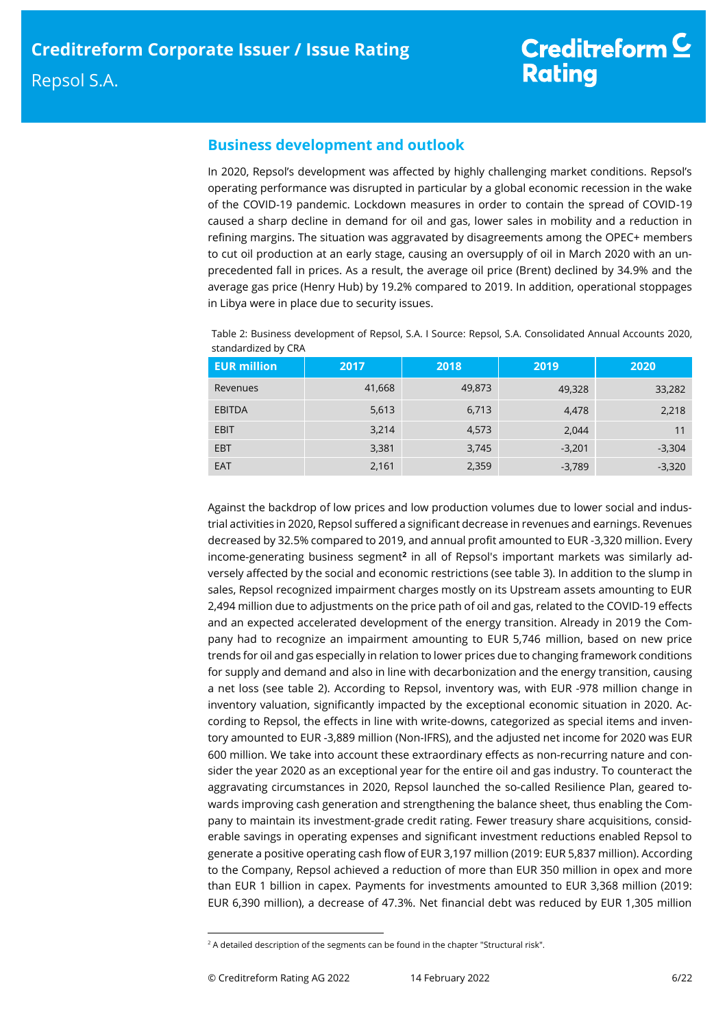# **Business development and outlook**

In 2020, Repsol's development was affected by highly challenging market conditions. Repsol's operating performance was disrupted in particular by a global economic recession in the wake of the COVID-19 pandemic. Lockdown measures in order to contain the spread of COVID-19 caused a sharp decline in demand for oil and gas, lower sales in mobility and a reduction in refining margins. The situation was aggravated by disagreements among the OPEC+ members to cut oil production at an early stage, causing an oversupply of oil in March 2020 with an unprecedented fall in prices. As a result, the average oil price (Brent) declined by 34.9% and the average gas price (Henry Hub) by 19.2% compared to 2019. In addition, operational stoppages in Libya were in place due to security issues.

Table 2: Business development of Repsol, S.A. I Source: Repsol, S.A. Consolidated Annual Accounts 2020, standardized by CRA

| <b>EUR million</b> | 2017   | 2018   | 2019     | 2020     |
|--------------------|--------|--------|----------|----------|
| Revenues           | 41,668 | 49,873 | 49,328   | 33,282   |
| EBITDA             | 5,613  | 6,713  | 4,478    | 2,218    |
| <b>EBIT</b>        | 3,214  | 4,573  | 2,044    | 11       |
| <b>EBT</b>         | 3,381  | 3,745  | $-3,201$ | $-3,304$ |
| <b>EAT</b>         | 2,161  | 2,359  | $-3,789$ | $-3,320$ |

Against the backdrop of low prices and low production volumes due to lower social and industrial activities in 2020, Repsol suffered a significant decrease in revenues and earnings. Revenues decreased by 32.5% compared to 2019, and annual profit amounted to EUR -3,320 million. Every income-generating business segment**<sup>2</sup>** in all of Repsol's important markets was similarly adversely affected by the social and economic restrictions (see table 3). In addition to the slump in sales, Repsol recognized impairment charges mostly on its Upstream assets amounting to EUR 2,494 million due to adjustments on the price path of oil and gas, related to the COVID-19 effects and an expected accelerated development of the energy transition. Already in 2019 the Company had to recognize an impairment amounting to EUR 5,746 million, based on new price trends for oil and gas especially in relation to lower prices due to changing framework conditions for supply and demand and also in line with decarbonization and the energy transition, causing a net loss (see table 2). According to Repsol, inventory was, with EUR -978 million change in inventory valuation, significantly impacted by the exceptional economic situation in 2020. According to Repsol, the effects in line with write-downs, categorized as special items and inventory amounted to EUR -3,889 million (Non-IFRS), and the adjusted net income for 2020 was EUR 600 million. We take into account these extraordinary effects as non-recurring nature and consider the year 2020 as an exceptional year for the entire oil and gas industry. To counteract the aggravating circumstances in 2020, Repsol launched the so-called Resilience Plan, geared towards improving cash generation and strengthening the balance sheet, thus enabling the Company to maintain its investment-grade credit rating. Fewer treasury share acquisitions, considerable savings in operating expenses and significant investment reductions enabled Repsol to generate a positive operating cash flow of EUR 3,197 million (2019: EUR 5,837 million). According to the Company, Repsol achieved a reduction of more than EUR 350 million in opex and more than EUR 1 billion in capex. Payments for investments amounted to EUR 3,368 million (2019: EUR 6,390 million), a decrease of 47.3%. Net financial debt was reduced by EUR 1,305 million

 $2A$  detailed description of the segments can be found in the chapter "Structural risk".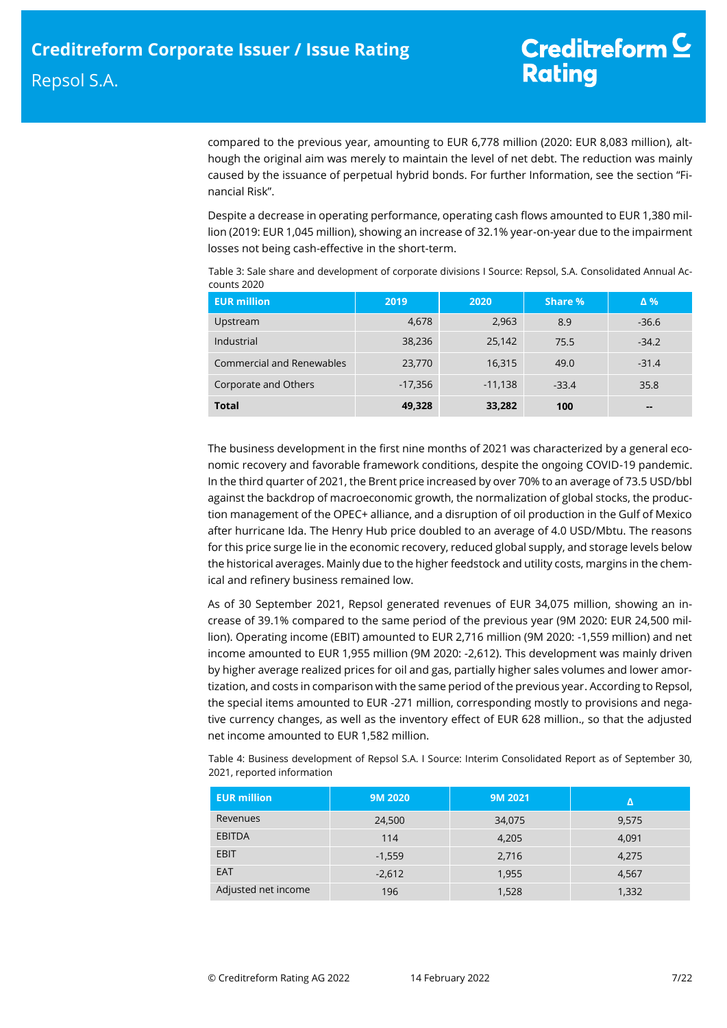compared to the previous year, amounting to EUR 6,778 million (2020: EUR 8,083 million), although the original aim was merely to maintain the level of net debt. The reduction was mainly caused by the issuance of perpetual hybrid bonds. For further Information, see the section "Financial Risk".

Despite a decrease in operating performance, operating cash flows amounted to EUR 1,380 million (2019: EUR 1,045 million), showing an increase of 32.1% year-on-year due to the impairment losses not being cash-effective in the short-term.

| <b>EUR million</b>               | 2019      | 2020      | Share % | $\Delta$ % |
|----------------------------------|-----------|-----------|---------|------------|
| Upstream                         | 4,678     | 2,963     | 8.9     | $-36.6$    |
| Industrial                       | 38,236    | 25,142    | 75.5    | $-34.2$    |
| <b>Commercial and Renewables</b> | 23,770    | 16,315    | 49.0    | $-31.4$    |
| Corporate and Others             | $-17,356$ | $-11,138$ | $-33.4$ | 35.8       |
| <b>Total</b>                     | 49,328    | 33,282    | 100     | $\sim$     |

Table 3: Sale share and development of corporate divisions I Source: Repsol, S.A. Consolidated Annual Accounts 2020

The business development in the first nine months of 2021 was characterized by a general economic recovery and favorable framework conditions, despite the ongoing COVID-19 pandemic. In the third quarter of 2021, the Brent price increased by over 70% to an average of 73.5 USD/bbl against the backdrop of macroeconomic growth, the normalization of global stocks, the production management of the OPEC+ alliance, and a disruption of oil production in the Gulf of Mexico after hurricane Ida. The Henry Hub price doubled to an average of 4.0 USD/Mbtu. The reasons for this price surge lie in the economic recovery, reduced global supply, and storage levels below the historical averages. Mainly due to the higher feedstock and utility costs, margins in the chemical and refinery business remained low.

As of 30 September 2021, Repsol generated revenues of EUR 34,075 million, showing an increase of 39.1% compared to the same period of the previous year (9M 2020: EUR 24,500 million). Operating income (EBIT) amounted to EUR 2,716 million (9M 2020: -1,559 million) and net income amounted to EUR 1,955 million (9M 2020: -2,612). This development was mainly driven by higher average realized prices for oil and gas, partially higher sales volumes and lower amortization, and costs in comparison with the same period of the previous year. According to Repsol, the special items amounted to EUR -271 million, corresponding mostly to provisions and negative currency changes, as well as the inventory effect of EUR 628 million., so that the adjusted net income amounted to EUR 1,582 million.

Table 4: Business development of Repsol S.A. I Source: Interim Consolidated Report as of September 30, 2021, reported information

| <b>EUR million</b>  | <b>9M 2020</b> | 9M 2021 | Δ     |
|---------------------|----------------|---------|-------|
| Revenues            | 24,500         | 34,075  | 9,575 |
| <b>EBITDA</b>       | 114            | 4,205   | 4,091 |
| <b>EBIT</b>         | $-1,559$       | 2,716   | 4,275 |
| <b>EAT</b>          | $-2,612$       | 1,955   | 4,567 |
| Adjusted net income | 196            | 1,528   | 1,332 |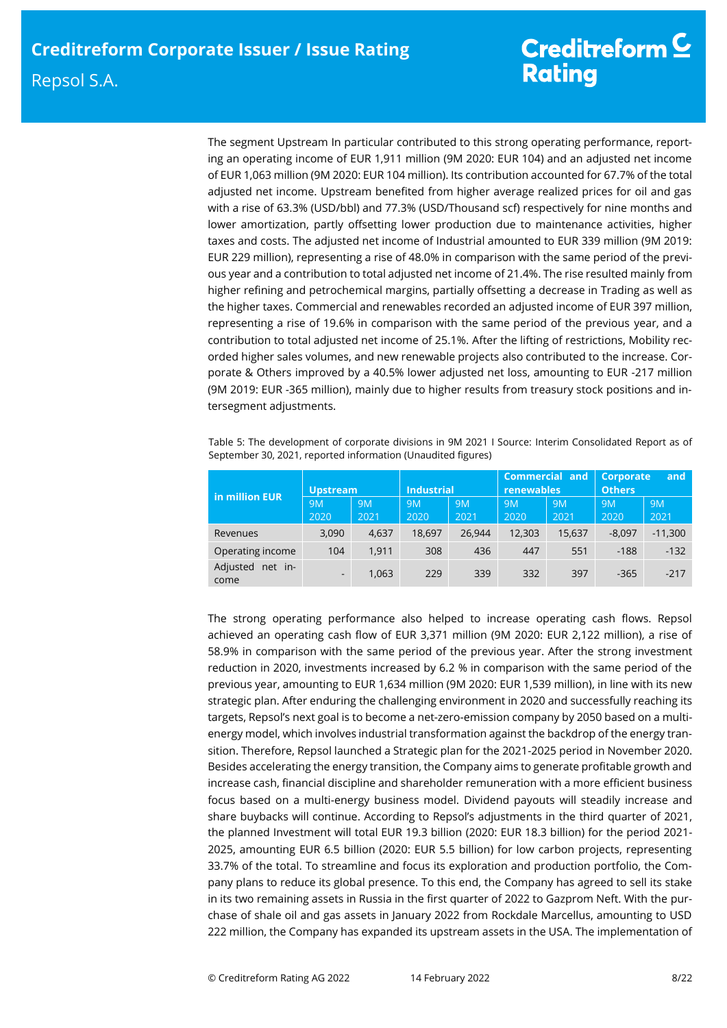# Creditreform  $\underline{\mathsf{C}}$ **Rating**

The segment Upstream In particular contributed to this strong operating performance, reporting an operating income of EUR 1,911 million (9M 2020: EUR 104) and an adjusted net income of EUR 1,063 million (9M 2020: EUR 104 million). Its contribution accounted for 67.7% of the total adjusted net income. Upstream benefited from higher average realized prices for oil and gas with a rise of 63.3% (USD/bbl) and 77.3% (USD/Thousand scf) respectively for nine months and lower amortization, partly offsetting lower production due to maintenance activities, higher taxes and costs. The adjusted net income of Industrial amounted to EUR 339 million (9M 2019: EUR 229 million), representing a rise of 48.0% in comparison with the same period of the previous year and a contribution to total adjusted net income of 21.4%. The rise resulted mainly from higher refining and petrochemical margins, partially offsetting a decrease in Trading as well as the higher taxes. Commercial and renewables recorded an adjusted income of EUR 397 million, representing a rise of 19.6% in comparison with the same period of the previous year, and a contribution to total adjusted net income of 25.1%. After the lifting of restrictions, Mobility recorded higher sales volumes, and new renewable projects also contributed to the increase. Corporate & Others improved by a 40.5% lower adjusted net loss, amounting to EUR -217 million (9M 2019: EUR -365 million), mainly due to higher results from treasury stock positions and intersegment adjustments.

Table 5: The development of corporate divisions in 9M 2021 I Source: Interim Consolidated Report as of September 30, 2021, reported information (Unaudited figures)

| in million EUR              | <b>Upstream</b>          |                   | <b>Industrial</b> |                   | <b>Commercial and</b><br><b>renewables</b> |            | Corporate<br>and<br><b>Others</b> |                   |
|-----------------------------|--------------------------|-------------------|-------------------|-------------------|--------------------------------------------|------------|-----------------------------------|-------------------|
|                             | <b>9M</b><br>2020        | <b>9M</b><br>2021 | 9M<br>2020        | <b>9M</b><br>2021 | 9M<br>2020                                 | 9M<br>2021 | <b>9M</b><br>2020                 | <b>9M</b><br>2021 |
| Revenues                    | 3,090                    | 4,637             | 18,697            | 26,944            | 12,303                                     | 15,637     | $-8,097$                          | $-11,300$         |
| Operating income            | 104                      | 1.911             | 308               | 436               | 447                                        | 551        | $-188$                            | $-132$            |
| Adjusted<br>net in-<br>come | $\overline{\phantom{a}}$ | 1,063             | 229               | 339               | 332                                        | 397        | $-365$                            | $-217$            |

The strong operating performance also helped to increase operating cash flows. Repsol achieved an operating cash flow of EUR 3,371 million (9M 2020: EUR 2,122 million), a rise of 58.9% in comparison with the same period of the previous year. After the strong investment reduction in 2020, investments increased by 6.2 % in comparison with the same period of the previous year, amounting to EUR 1,634 million (9M 2020: EUR 1,539 million), in line with its new strategic plan. After enduring the challenging environment in 2020 and successfully reaching its targets, Repsol's next goal is to become a net-zero-emission company by 2050 based on a multienergy model, which involves industrial transformation against the backdrop of the energy transition. Therefore, Repsol launched a Strategic plan for the 2021-2025 period in November 2020. Besides accelerating the energy transition, the Company aims to generate profitable growth and increase cash, financial discipline and shareholder remuneration with a more efficient business focus based on a multi-energy business model. Dividend payouts will steadily increase and share buybacks will continue. According to Repsol's adjustments in the third quarter of 2021, the planned Investment will total EUR 19.3 billion (2020: EUR 18.3 billion) for the period 2021- 2025, amounting EUR 6.5 billion (2020: EUR 5.5 billion) for low carbon projects, representing 33.7% of the total. To streamline and focus its exploration and production portfolio, the Company plans to reduce its global presence. To this end, the Company has agreed to sell its stake in its two remaining assets in Russia in the first quarter of 2022 to Gazprom Neft. With the purchase of shale oil and gas assets in January 2022 from Rockdale Marcellus, amounting to USD 222 million, the Company has expanded its upstream assets in the USA. The implementation of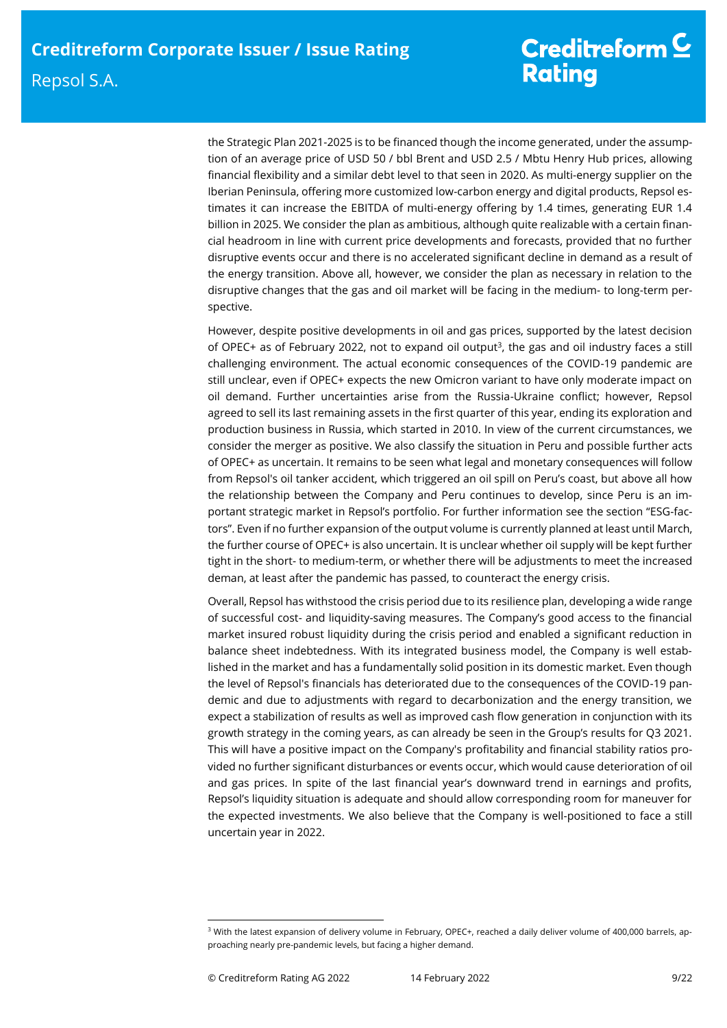# Creditreform  $\underline{\mathsf{C}}$ **Rating**

the Strategic Plan 2021-2025 is to be financed though the income generated, under the assumption of an average price of USD 50 / bbl Brent and USD 2.5 / Mbtu Henry Hub prices, allowing financial flexibility and a similar debt level to that seen in 2020. As multi-energy supplier on the Iberian Peninsula, offering more customized low-carbon energy and digital products, Repsol estimates it can increase the EBITDA of multi-energy offering by 1.4 times, generating EUR 1.4 billion in 2025. We consider the plan as ambitious, although quite realizable with a certain financial headroom in line with current price developments and forecasts, provided that no further disruptive events occur and there is no accelerated significant decline in demand as a result of the energy transition. Above all, however, we consider the plan as necessary in relation to the disruptive changes that the gas and oil market will be facing in the medium- to long-term perspective.

However, despite positive developments in oil and gas prices, supported by the latest decision of OPEC+ as of February 2022, not to expand oil output<sup>3</sup>, the gas and oil industry faces a still challenging environment. The actual economic consequences of the COVID-19 pandemic are still unclear, even if OPEC+ expects the new Omicron variant to have only moderate impact on oil demand. Further uncertainties arise from the Russia-Ukraine conflict; however, Repsol agreed to sell its last remaining assets in the first quarter of this year, ending its exploration and production business in Russia, which started in 2010. In view of the current circumstances, we consider the merger as positive. We also classify the situation in Peru and possible further acts of OPEC+ as uncertain. It remains to be seen what legal and monetary consequences will follow from Repsol's oil tanker accident, which triggered an oil spill on Peru's coast, but above all how the relationship between the Company and Peru continues to develop, since Peru is an important strategic market in Repsol's portfolio. For further information see the section "ESG-factors". Even if no further expansion of the output volume is currently planned at least until March, the further course of OPEC+ is also uncertain. It is unclear whether oil supply will be kept further tight in the short- to medium-term, or whether there will be adjustments to meet the increased deman, at least after the pandemic has passed, to counteract the energy crisis.

Overall, Repsol has withstood the crisis period due to its resilience plan, developing a wide range of successful cost- and liquidity-saving measures. The Company's good access to the financial market insured robust liquidity during the crisis period and enabled a significant reduction in balance sheet indebtedness. With its integrated business model, the Company is well established in the market and has a fundamentally solid position in its domestic market. Even though the level of Repsol's financials has deteriorated due to the consequences of the COVID-19 pandemic and due to adjustments with regard to decarbonization and the energy transition, we expect a stabilization of results as well as improved cash flow generation in conjunction with its growth strategy in the coming years, as can already be seen in the Group's results for Q3 2021. This will have a positive impact on the Company's profitability and financial stability ratios provided no further significant disturbances or events occur, which would cause deterioration of oil and gas prices. In spite of the last financial year's downward trend in earnings and profits, Repsol's liquidity situation is adequate and should allow corresponding room for maneuver for the expected investments. We also believe that the Company is well-positioned to face a still uncertain year in 2022.

<sup>&</sup>lt;sup>3</sup> With the latest expansion of delivery volume in February, OPEC+, reached a daily deliver volume of 400,000 barrels, approaching nearly pre-pandemic levels, but facing a higher demand.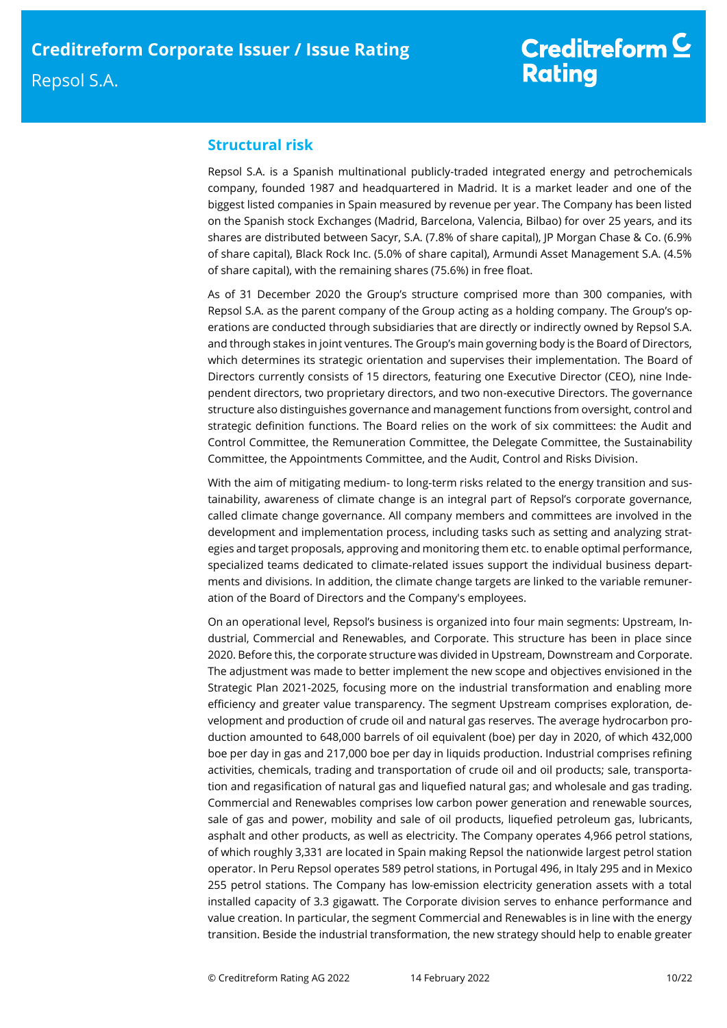# Creditreform  $\underline{\mathsf{C}}$ **Rating**

# **Structural risk**

Repsol S.A. is a Spanish multinational publicly-traded integrated energy and petrochemicals company, founded 1987 and headquartered in Madrid. It is a market leader and one of the biggest listed companies in Spain measured by revenue per year. The Company has been listed on the Spanish stock Exchanges (Madrid, Barcelona, Valencia, Bilbao) for over 25 years, and its shares are distributed between Sacyr, S.A. (7.8% of share capital), JP Morgan Chase & Co. (6.9% of share capital), Black Rock Inc. (5.0% of share capital), Armundi Asset Management S.A. (4.5% of share capital), with the remaining shares (75.6%) in free float.

As of 31 December 2020 the Group's structure comprised more than 300 companies, with Repsol S.A. as the parent company of the Group acting as a holding company. The Group's operations are conducted through subsidiaries that are directly or indirectly owned by Repsol S.A. and through stakes in joint ventures. The Group's main governing body is the Board of Directors, which determines its strategic orientation and supervises their implementation. The Board of Directors currently consists of 15 directors, featuring one Executive Director (CEO), nine Independent directors, two proprietary directors, and two non-executive Directors. The governance structure also distinguishes governance and management functions from oversight, control and strategic definition functions. The Board relies on the work of six committees: the Audit and Control Committee, the Remuneration Committee, the Delegate Committee, the Sustainability Committee, the Appointments Committee, and the Audit, Control and Risks Division.

With the aim of mitigating medium- to long-term risks related to the energy transition and sustainability, awareness of climate change is an integral part of Repsol's corporate governance, called climate change governance. All company members and committees are involved in the development and implementation process, including tasks such as setting and analyzing strategies and target proposals, approving and monitoring them etc. to enable optimal performance, specialized teams dedicated to climate-related issues support the individual business departments and divisions. In addition, the climate change targets are linked to the variable remuneration of the Board of Directors and the Company's employees.

On an operational level, Repsol's business is organized into four main segments: Upstream, Industrial, Commercial and Renewables, and Corporate. This structure has been in place since 2020. Before this, the corporate structure was divided in Upstream, Downstream and Corporate. The adjustment was made to better implement the new scope and objectives envisioned in the Strategic Plan 2021-2025, focusing more on the industrial transformation and enabling more efficiency and greater value transparency. The segment Upstream comprises exploration, development and production of crude oil and natural gas reserves. The average hydrocarbon production amounted to 648,000 barrels of oil equivalent (boe) per day in 2020, of which 432,000 boe per day in gas and 217,000 boe per day in liquids production. Industrial comprises refining activities, chemicals, trading and transportation of crude oil and oil products; sale, transportation and regasification of natural gas and liquefied natural gas; and wholesale and gas trading. Commercial and Renewables comprises low carbon power generation and renewable sources, sale of gas and power, mobility and sale of oil products, liquefied petroleum gas, lubricants, asphalt and other products, as well as electricity. The Company operates 4,966 petrol stations, of which roughly 3,331 are located in Spain making Repsol the nationwide largest petrol station operator. In Peru Repsol operates 589 petrol stations, in Portugal 496, in Italy 295 and in Mexico 255 petrol stations. The Company has low-emission electricity generation assets with a total installed capacity of 3.3 gigawatt. The Corporate division serves to enhance performance and value creation. In particular, the segment Commercial and Renewables is in line with the energy transition. Beside the industrial transformation, the new strategy should help to enable greater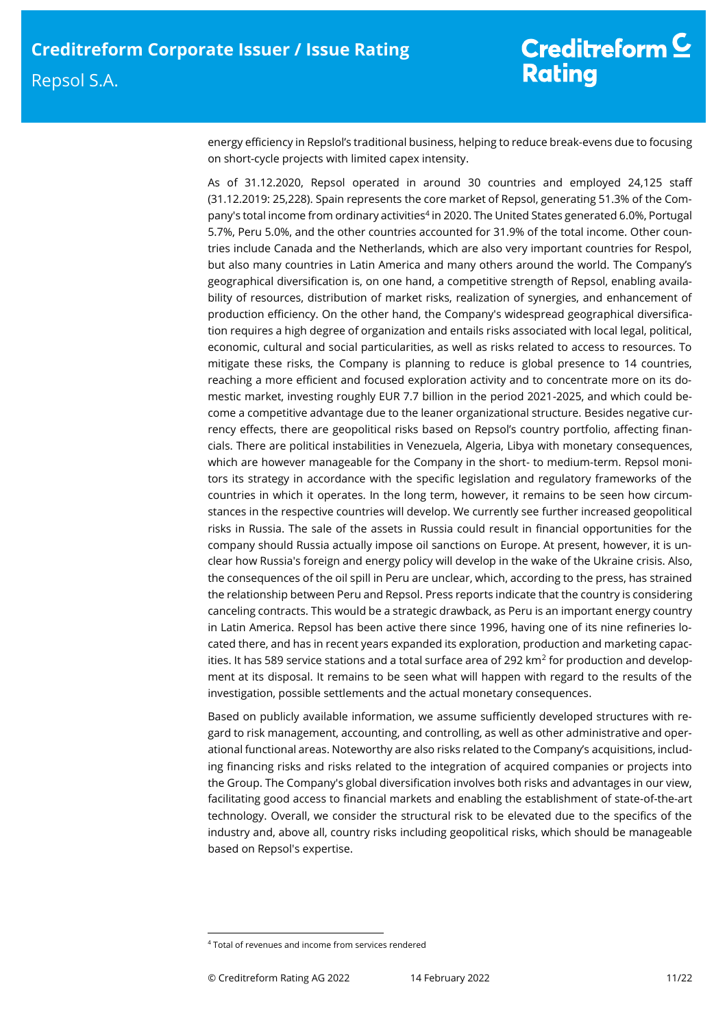energy efficiency in Repslol's traditional business, helping to reduce break-evens due to focusing on short-cycle projects with limited capex intensity.

As of 31.12.2020, Repsol operated in around 30 countries and employed 24,125 staff (31.12.2019: 25,228). Spain represents the core market of Repsol, generating 51.3% of the Company's total income from ordinary activities<sup>4</sup> in 2020. The United States generated 6.0%, Portugal 5.7%, Peru 5.0%, and the other countries accounted for 31.9% of the total income. Other countries include Canada and the Netherlands, which are also very important countries for Respol, but also many countries in Latin America and many others around the world. The Company's geographical diversification is, on one hand, a competitive strength of Repsol, enabling availability of resources, distribution of market risks, realization of synergies, and enhancement of production efficiency. On the other hand, the Company's widespread geographical diversification requires a high degree of organization and entails risks associated with local legal, political, economic, cultural and social particularities, as well as risks related to access to resources. To mitigate these risks, the Company is planning to reduce is global presence to 14 countries, reaching a more efficient and focused exploration activity and to concentrate more on its domestic market, investing roughly EUR 7.7 billion in the period 2021-2025, and which could become a competitive advantage due to the leaner organizational structure. Besides negative currency effects, there are geopolitical risks based on Repsol's country portfolio, affecting financials. There are political instabilities in Venezuela, Algeria, Libya with monetary consequences, which are however manageable for the Company in the short- to medium-term. Repsol monitors its strategy in accordance with the specific legislation and regulatory frameworks of the countries in which it operates. In the long term, however, it remains to be seen how circumstances in the respective countries will develop. We currently see further increased geopolitical risks in Russia. The sale of the assets in Russia could result in financial opportunities for the company should Russia actually impose oil sanctions on Europe. At present, however, it is unclear how Russia's foreign and energy policy will develop in the wake of the Ukraine crisis. Also, the consequences of the oil spill in Peru are unclear, which, according to the press, has strained the relationship between Peru and Repsol. Press reports indicate that the country is considering canceling contracts. This would be a strategic drawback, as Peru is an important energy country in Latin America. Repsol has been active there since 1996, having one of its nine refineries located there, and has in recent years expanded its exploration, production and marketing capacities. It has 589 service stations and a total surface area of 292 km<sup>2</sup> for production and development at its disposal. It remains to be seen what will happen with regard to the results of the investigation, possible settlements and the actual monetary consequences.

Based on publicly available information, we assume sufficiently developed structures with regard to risk management, accounting, and controlling, as well as other administrative and operational functional areas. Noteworthy are also risks related to the Company's acquisitions, including financing risks and risks related to the integration of acquired companies or projects into the Group. The Company's global diversification involves both risks and advantages in our view, facilitating good access to financial markets and enabling the establishment of state-of-the-art technology. Overall, we consider the structural risk to be elevated due to the specifics of the industry and, above all, country risks including geopolitical risks, which should be manageable based on Repsol's expertise.

<sup>4</sup> Total of revenues and income from services rendered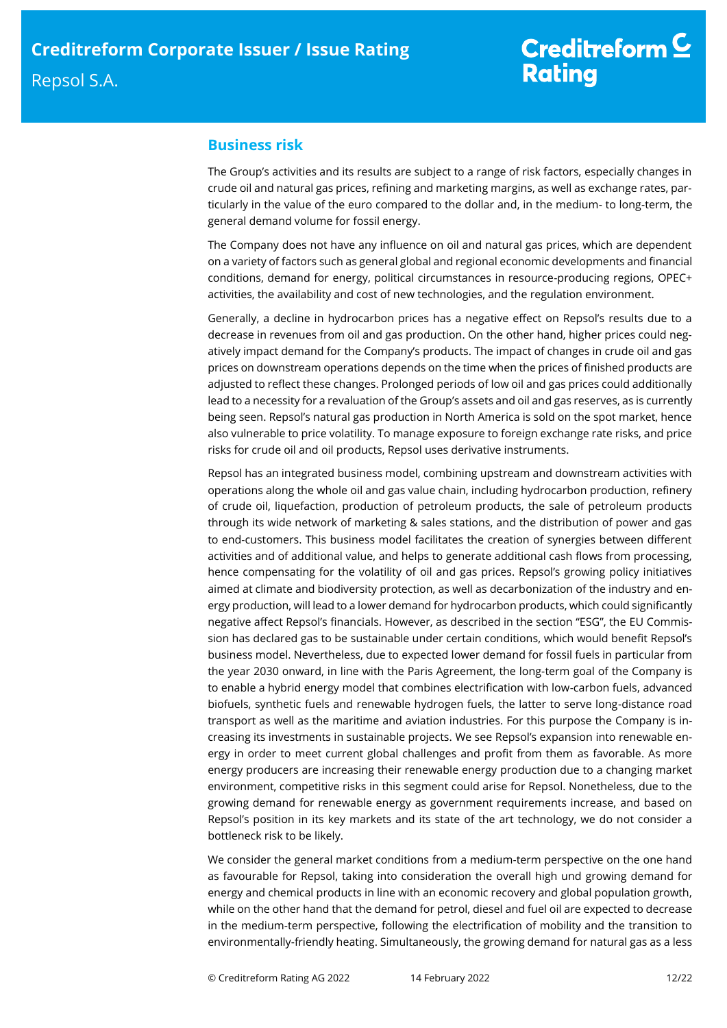# **Business risk**

The Group's activities and its results are subject to a range of risk factors, especially changes in crude oil and natural gas prices, refining and marketing margins, as well as exchange rates, particularly in the value of the euro compared to the dollar and, in the medium- to long-term, the general demand volume for fossil energy.

The Company does not have any influence on oil and natural gas prices, which are dependent on a variety of factors such as general global and regional economic developments and financial conditions, demand for energy, political circumstances in resource-producing regions, OPEC+ activities, the availability and cost of new technologies, and the regulation environment.

Generally, a decline in hydrocarbon prices has a negative effect on Repsol's results due to a decrease in revenues from oil and gas production. On the other hand, higher prices could negatively impact demand for the Company's products. The impact of changes in crude oil and gas prices on downstream operations depends on the time when the prices of finished products are adjusted to reflect these changes. Prolonged periods of low oil and gas prices could additionally lead to a necessity for a revaluation of the Group's assets and oil and gas reserves, as is currently being seen. Repsol's natural gas production in North America is sold on the spot market, hence also vulnerable to price volatility. To manage exposure to foreign exchange rate risks, and price risks for crude oil and oil products, Repsol uses derivative instruments.

Repsol has an integrated business model, combining upstream and downstream activities with operations along the whole oil and gas value chain, including hydrocarbon production, refinery of crude oil, liquefaction, production of petroleum products, the sale of petroleum products through its wide network of marketing & sales stations, and the distribution of power and gas to end-customers. This business model facilitates the creation of synergies between different activities and of additional value, and helps to generate additional cash flows from processing, hence compensating for the volatility of oil and gas prices. Repsol's growing policy initiatives aimed at climate and biodiversity protection, as well as decarbonization of the industry and energy production, will lead to a lower demand for hydrocarbon products, which could significantly negative affect Repsol's financials. However, as described in the section "ESG", the EU Commission has declared gas to be sustainable under certain conditions, which would benefit Repsol's business model. Nevertheless, due to expected lower demand for fossil fuels in particular from the year 2030 onward, in line with the Paris Agreement, the long-term goal of the Company is to enable a hybrid energy model that combines electrification with low-carbon fuels, advanced biofuels, synthetic fuels and renewable hydrogen fuels, the latter to serve long-distance road transport as well as the maritime and aviation industries. For this purpose the Company is increasing its investments in sustainable projects. We see Repsol's expansion into renewable energy in order to meet current global challenges and profit from them as favorable. As more energy producers are increasing their renewable energy production due to a changing market environment, competitive risks in this segment could arise for Repsol. Nonetheless, due to the growing demand for renewable energy as government requirements increase, and based on Repsol's position in its key markets and its state of the art technology, we do not consider a bottleneck risk to be likely.

We consider the general market conditions from a medium-term perspective on the one hand as favourable for Repsol, taking into consideration the overall high und growing demand for energy and chemical products in line with an economic recovery and global population growth, while on the other hand that the demand for petrol, diesel and fuel oil are expected to decrease in the medium-term perspective, following the electrification of mobility and the transition to environmentally-friendly heating. Simultaneously, the growing demand for natural gas as a less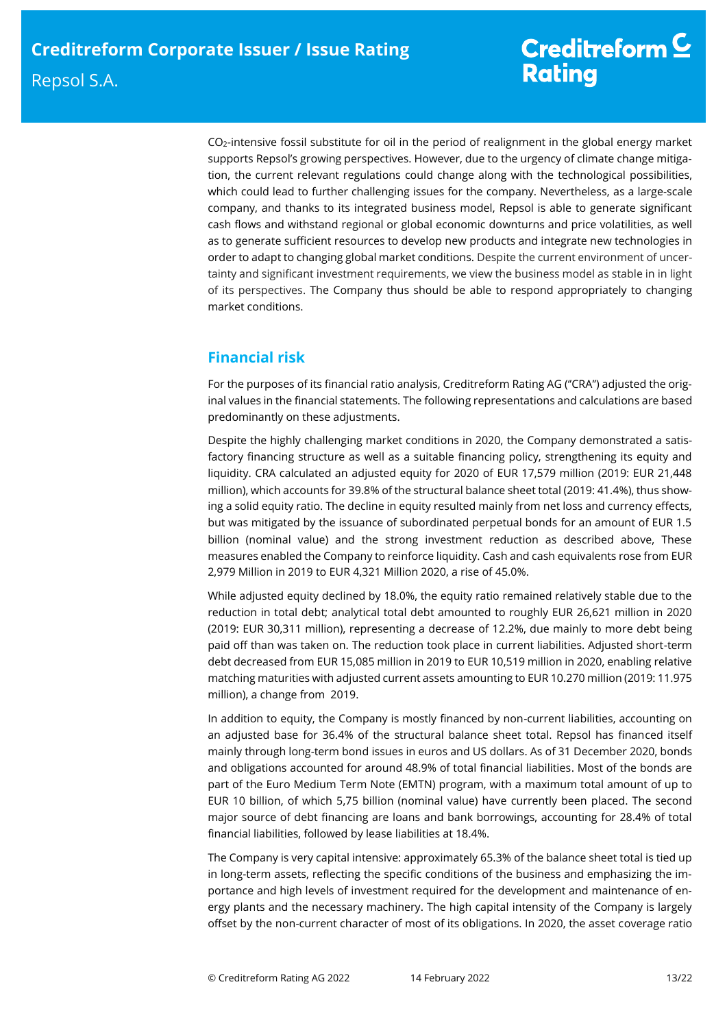CO2-intensive fossil substitute for oil in the period of realignment in the global energy market supports Repsol's growing perspectives. However, due to the urgency of climate change mitigation, the current relevant regulations could change along with the technological possibilities, which could lead to further challenging issues for the company. Nevertheless, as a large-scale company, and thanks to its integrated business model, Repsol is able to generate significant cash flows and withstand regional or global economic downturns and price volatilities, as well as to generate sufficient resources to develop new products and integrate new technologies in order to adapt to changing global market conditions. Despite the current environment of uncertainty and significant investment requirements, we view the business model as stable in in light of its perspectives. The Company thus should be able to respond appropriately to changing market conditions.

# **Financial risk**

For the purposes of its financial ratio analysis, Creditreform Rating AG (''CRA'') adjusted the original values in the financial statements. The following representations and calculations are based predominantly on these adjustments.

Despite the highly challenging market conditions in 2020, the Company demonstrated a satisfactory financing structure as well as a suitable financing policy, strengthening its equity and liquidity. CRA calculated an adjusted equity for 2020 of EUR 17,579 million (2019: EUR 21,448 million), which accounts for 39.8% of the structural balance sheet total (2019: 41.4%), thus showing a solid equity ratio. The decline in equity resulted mainly from net loss and currency effects, but was mitigated by the issuance of subordinated perpetual bonds for an amount of EUR 1.5 billion (nominal value) and the strong investment reduction as described above, These measures enabled the Company to reinforce liquidity. Cash and cash equivalents rose from EUR 2,979 Million in 2019 to EUR 4,321 Million 2020, a rise of 45.0%.

While adjusted equity declined by 18.0%, the equity ratio remained relatively stable due to the reduction in total debt; analytical total debt amounted to roughly EUR 26,621 million in 2020 (2019: EUR 30,311 million), representing a decrease of 12.2%, due mainly to more debt being paid off than was taken on. The reduction took place in current liabilities. Adjusted short-term debt decreased from EUR 15,085 million in 2019 to EUR 10,519 million in 2020, enabling relative matching maturities with adjusted current assets amounting to EUR 10.270 million (2019: 11.975 million), a change from 2019.

In addition to equity, the Company is mostly financed by non-current liabilities, accounting on an adjusted base for 36.4% of the structural balance sheet total. Repsol has financed itself mainly through long-term bond issues in euros and US dollars. As of 31 December 2020, bonds and obligations accounted for around 48.9% of total financial liabilities. Most of the bonds are part of the Euro Medium Term Note (EMTN) program, with a maximum total amount of up to EUR 10 billion, of which 5,75 billion (nominal value) have currently been placed. The second major source of debt financing are loans and bank borrowings, accounting for 28.4% of total financial liabilities, followed by lease liabilities at 18.4%.

The Company is very capital intensive: approximately 65.3% of the balance sheet total is tied up in long-term assets, reflecting the specific conditions of the business and emphasizing the importance and high levels of investment required for the development and maintenance of energy plants and the necessary machinery. The high capital intensity of the Company is largely offset by the non-current character of most of its obligations. In 2020, the asset coverage ratio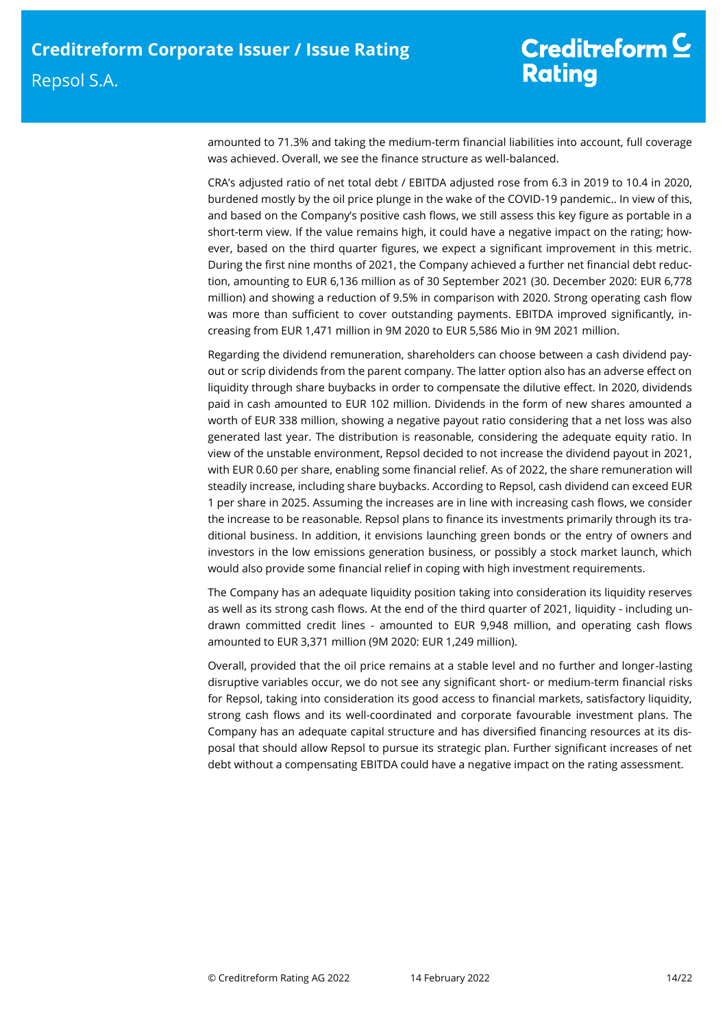amounted to 71.3% and taking the medium-term financial liabilities into account, full coverage was achieved. Overall, we see the finance structure as well-balanced.

CRA's adjusted ratio of net total debt / EBITDA adjusted rose from 6.3 in 2019 to 10.4 in 2020, burdened mostly by the oil price plunge in the wake of the COVID-19 pandemic.. In view of this, and based on the Company's positive cash flows, we still assess this key figure as portable in a short-term view. If the value remains high, it could have a negative impact on the rating; however, based on the third quarter figures, we expect a significant improvement in this metric. During the first nine months of 2021, the Company achieved a further net financial debt reduction, amounting to EUR 6,136 million as of 30 September 2021 (30. December 2020: EUR 6,778 million) and showing a reduction of 9.5% in comparison with 2020. Strong operating cash flow was more than sufficient to cover outstanding payments. EBITDA improved significantly, increasing from EUR 1,471 million in 9M 2020 to EUR 5,586 Mio in 9M 2021 million.

Regarding the dividend remuneration, shareholders can choose between a cash dividend payout or scrip dividends from the parent company. The latter option also has an adverse effect on liquidity through share buybacks in order to compensate the dilutive effect. In 2020, dividends paid in cash amounted to EUR 102 million. Dividends in the form of new shares amounted a worth of EUR 338 million, showing a negative payout ratio considering that a net loss was also generated last year. The distribution is reasonable, considering the adequate equity ratio. In view of the unstable environment, Repsol decided to not increase the dividend payout in 2021, with EUR 0.60 per share, enabling some financial relief. As of 2022, the share remuneration will steadily increase, including share buybacks. According to Repsol, cash dividend can exceed EUR 1 per share in 2025. Assuming the increases are in line with increasing cash flows, we consider the increase to be reasonable. Repsol plans to finance its investments primarily through its traditional business. In addition, it envisions launching green bonds or the entry of owners and investors in the low emissions generation business, or possibly a stock market launch, which would also provide some financial relief in coping with high investment requirements.

The Company has an adequate liquidity position taking into consideration its liquidity reserves as well as its strong cash flows. At the end of the third quarter of 2021, liquidity - including undrawn committed credit lines - amounted to EUR 9,948 million, and operating cash flows amounted to EUR 3,371 million (9M 2020: EUR 1,249 million).

Overall, provided that the oil price remains at a stable level and no further and longer-lasting disruptive variables occur, we do not see any significant short- or medium-term financial risks for Repsol, taking into consideration its good access to financial markets, satisfactory liquidity, strong cash flows and its well-coordinated and corporate favourable investment plans. The Company has an adequate capital structure and has diversified financing resources at its disposal that should allow Repsol to pursue its strategic plan. Further significant increases of net debt without a compensating EBITDA could have a negative impact on the rating assessment.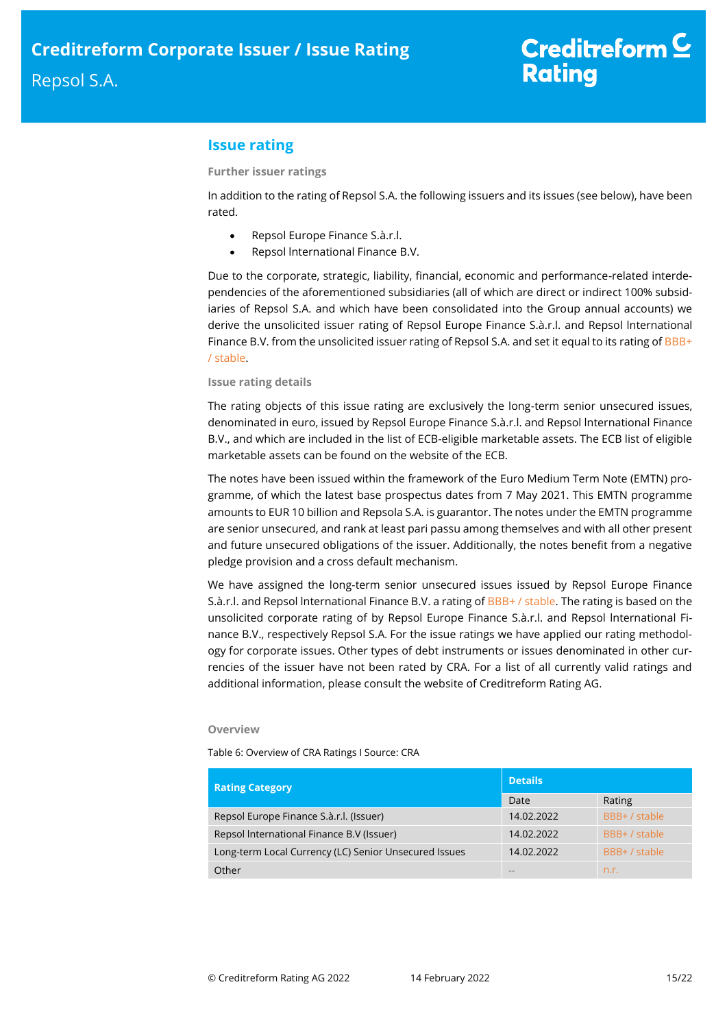# **Issue rating**

### **Further issuer ratings**

In addition to the rating of Repsol S.A. the following issuers and its issues (see below), have been rated.

- Repsol Europe Finance S.à.r.l.
- Repsol lnternational Finance B.V.

Due to the corporate, strategic, liability, financial, economic and performance-related interdependencies of the aforementioned subsidiaries (all of which are direct or indirect 100% subsidiaries of Repsol S.A. and which have been consolidated into the Group annual accounts) we derive the unsolicited issuer rating of Repsol Europe Finance S.à.r.l. and Repsol lnternational Finance B.V. from the unsolicited issuer rating of Repsol S.A. and set it equal to its rating of  $BBB+$ / stable.

#### **Issue rating details**

The rating objects of this issue rating are exclusively the long-term senior unsecured issues, denominated in euro, issued by Repsol Europe Finance S.à.r.l. and Repsol lnternational Finance B.V., and which are included in the list of ECB-eligible marketable assets. The ECB list of eligible marketable assets can be found on the website of the ECB.

The notes have been issued within the framework of the Euro Medium Term Note (EMTN) programme, of which the latest base prospectus dates from 7 May 2021. This EMTN programme amounts to EUR 10 billion and Repsola S.A. is guarantor. The notes under the EMTN programme are senior unsecured, and rank at least pari passu among themselves and with all other present and future unsecured obligations of the issuer. Additionally, the notes benefit from a negative pledge provision and a cross default mechanism.

We have assigned the long-term senior unsecured issues issued by Repsol Europe Finance S.à.r.l. and Repsol International Finance B.V. a rating of BBB+ / stable. The rating is based on the unsolicited corporate rating of by Repsol Europe Finance S.à.r.l. and Repsol lnternational Finance B.V., respectively Repsol S.A. For the issue ratings we have applied our rating methodology for corporate issues. Other types of debt instruments or issues denominated in other currencies of the issuer have not been rated by CRA. For a list of all currently valid ratings and additional information, please consult the website of Creditreform Rating AG.

#### **Overview**

Table 6: Overview of CRA Ratings I Source: CRA

| <b>Rating Category</b>                                | <b>Details</b> |               |  |  |
|-------------------------------------------------------|----------------|---------------|--|--|
|                                                       | Date           | Rating        |  |  |
| Repsol Europe Finance S.à.r.l. (Issuer)               | 14.02.2022     | BBB+ / stable |  |  |
| Repsol International Finance B.V (Issuer)             | 14.02.2022     | BBB+ / stable |  |  |
| Long-term Local Currency (LC) Senior Unsecured Issues | 14.02.2022     | BBB+ / stable |  |  |
| Other                                                 | <b>COLOR</b>   | n.r.          |  |  |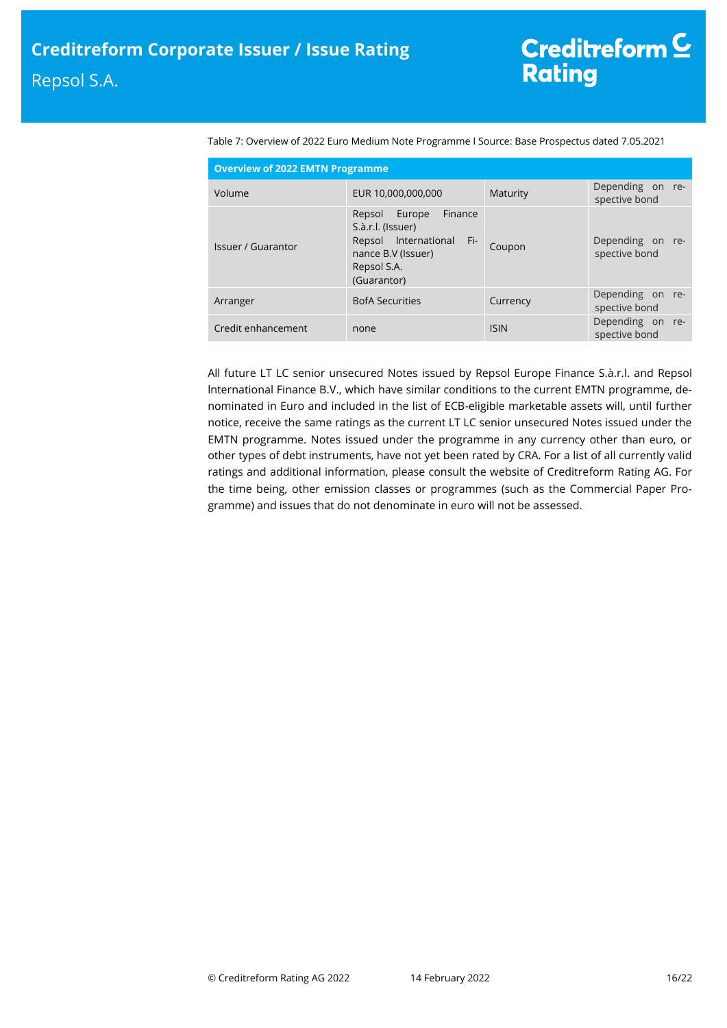| <b>Overview of 2022 EMTN Programme</b> |                                                                                                                                       |             |                                   |  |  |  |  |
|----------------------------------------|---------------------------------------------------------------------------------------------------------------------------------------|-------------|-----------------------------------|--|--|--|--|
| Volume                                 | EUR 10,000,000,000                                                                                                                    | Maturity    | Depending on re-<br>spective bond |  |  |  |  |
| <b>Issuer / Guarantor</b>              | Finance<br>Europe<br>Repsol<br>S.à.r.l. (Issuer)<br>Repsol International<br>∠Fi-7<br>nance B.V (Issuer)<br>Repsol S.A.<br>(Guarantor) | Coupon      | Depending on re-<br>spective bond |  |  |  |  |
| Arranger                               | <b>BofA Securities</b>                                                                                                                | Currency    | Depending on re-<br>spective bond |  |  |  |  |
| Credit enhancement                     | none                                                                                                                                  | <b>ISIN</b> | Depending on re-<br>spective bond |  |  |  |  |

Table 7: Overview of 2022 Euro Medium Note Programme I Source: Base Prospectus dated 7.05.2021

All future LT LC senior unsecured Notes issued by Repsol Europe Finance S.à.r.l. and Repsol lnternational Finance B.V., which have similar conditions to the current EMTN programme, denominated in Euro and included in the list of ECB-eligible marketable assets will, until further notice, receive the same ratings as the current LT LC senior unsecured Notes issued under the EMTN programme. Notes issued under the programme in any currency other than euro, or other types of debt instruments, have not yet been rated by CRA. For a list of all currently valid ratings and additional information, please consult the website of Creditreform Rating AG. For the time being, other emission classes or programmes (such as the Commercial Paper Programme) and issues that do not denominate in euro will not be assessed.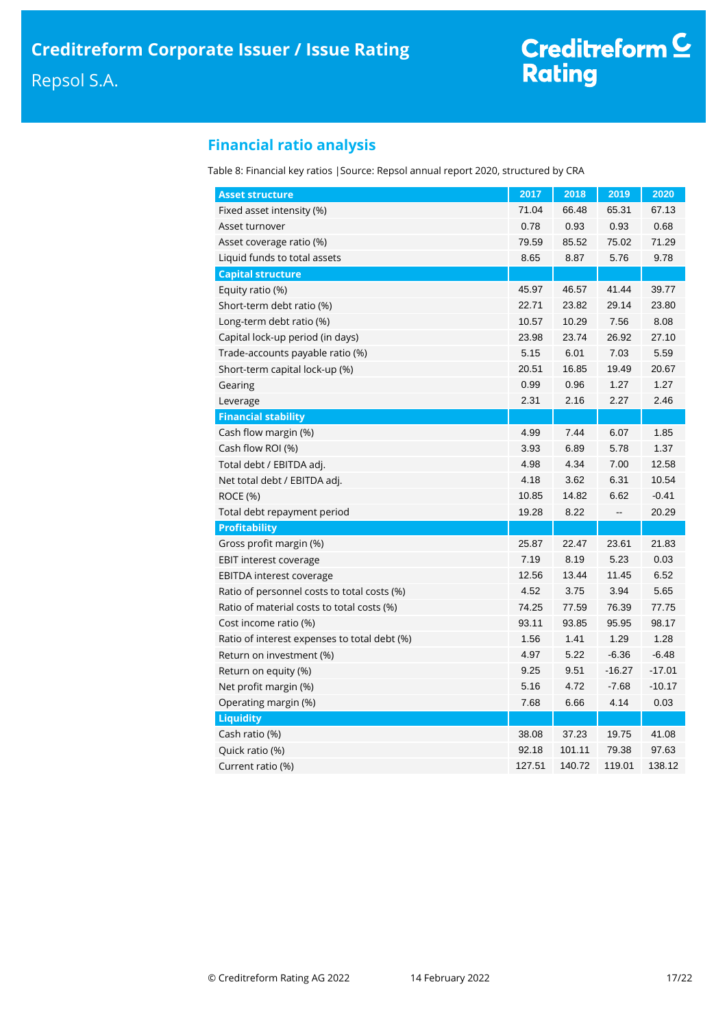# **Financial ratio analysis**

Table 8: Financial key ratios |Source: Repsol annual report 2020, structured by CRA

| <b>Asset structure</b>                       | 2017   | 2018   | 2019                         | 2020     |
|----------------------------------------------|--------|--------|------------------------------|----------|
| Fixed asset intensity (%)                    | 71.04  | 66.48  | 65.31                        | 67.13    |
| Asset turnover                               | 0.78   | 0.93   | 0.93                         | 0.68     |
| Asset coverage ratio (%)                     | 79.59  | 85.52  | 75.02                        | 71.29    |
| Liquid funds to total assets                 | 8.65   | 8.87   | 5.76                         | 9.78     |
| <b>Capital structure</b>                     |        |        |                              |          |
| Equity ratio (%)                             | 45.97  | 46.57  | 41.44                        | 39.77    |
| Short-term debt ratio (%)                    | 22.71  | 23.82  | 29.14                        | 23.80    |
| Long-term debt ratio (%)                     | 10.57  | 10.29  | 7.56                         | 8.08     |
| Capital lock-up period (in days)             | 23.98  | 23.74  | 26.92                        | 27.10    |
| Trade-accounts payable ratio (%)             | 5.15   | 6.01   | 7.03                         | 5.59     |
| Short-term capital lock-up (%)               | 20.51  | 16.85  | 19.49                        | 20.67    |
| Gearing                                      | 0.99   | 0.96   | 1.27                         | 1.27     |
| Leverage                                     | 2.31   | 2.16   | 2.27                         | 2.46     |
| <b>Financial stability</b>                   |        |        |                              |          |
| Cash flow margin (%)                         | 4.99   | 7.44   | 6.07                         | 1.85     |
| Cash flow ROI (%)                            | 3.93   | 6.89   | 5.78                         | 1.37     |
| Total debt / EBITDA adj.                     | 4.98   | 4.34   | 7.00                         | 12.58    |
| Net total debt / EBITDA adj.                 | 4.18   | 3.62   | 6.31                         | 10.54    |
| ROCE (%)                                     | 10.85  | 14.82  | 6.62                         | $-0.41$  |
| Total debt repayment period                  | 19.28  | 8.22   | $\qquad \qquad \blacksquare$ | 20.29    |
| <b>Profitability</b>                         |        |        |                              |          |
| Gross profit margin (%)                      | 25.87  | 22.47  | 23.61                        | 21.83    |
| <b>EBIT interest coverage</b>                | 7.19   | 8.19   | 5.23                         | 0.03     |
| <b>EBITDA</b> interest coverage              | 12.56  | 13.44  | 11.45                        | 6.52     |
| Ratio of personnel costs to total costs (%)  | 4.52   | 3.75   | 3.94                         | 5.65     |
| Ratio of material costs to total costs (%)   | 74.25  | 77.59  | 76.39                        | 77.75    |
| Cost income ratio (%)                        | 93.11  | 93.85  | 95.95                        | 98.17    |
| Ratio of interest expenses to total debt (%) | 1.56   | 1.41   | 1.29                         | 1.28     |
| Return on investment (%)                     | 4.97   | 5.22   | $-6.36$                      | $-6.48$  |
| Return on equity (%)                         | 9.25   | 9.51   | $-16.27$                     | $-17.01$ |
| Net profit margin (%)                        | 5.16   | 4.72   | $-7.68$                      | $-10.17$ |
| Operating margin (%)                         | 7.68   | 6.66   | 4.14                         | 0.03     |
| <b>Liquidity</b>                             |        |        |                              |          |
| Cash ratio (%)                               | 38.08  | 37.23  | 19.75                        | 41.08    |
| Quick ratio (%)                              | 92.18  | 101.11 | 79.38                        | 97.63    |
| Current ratio (%)                            | 127.51 | 140.72 | 119.01                       | 138.12   |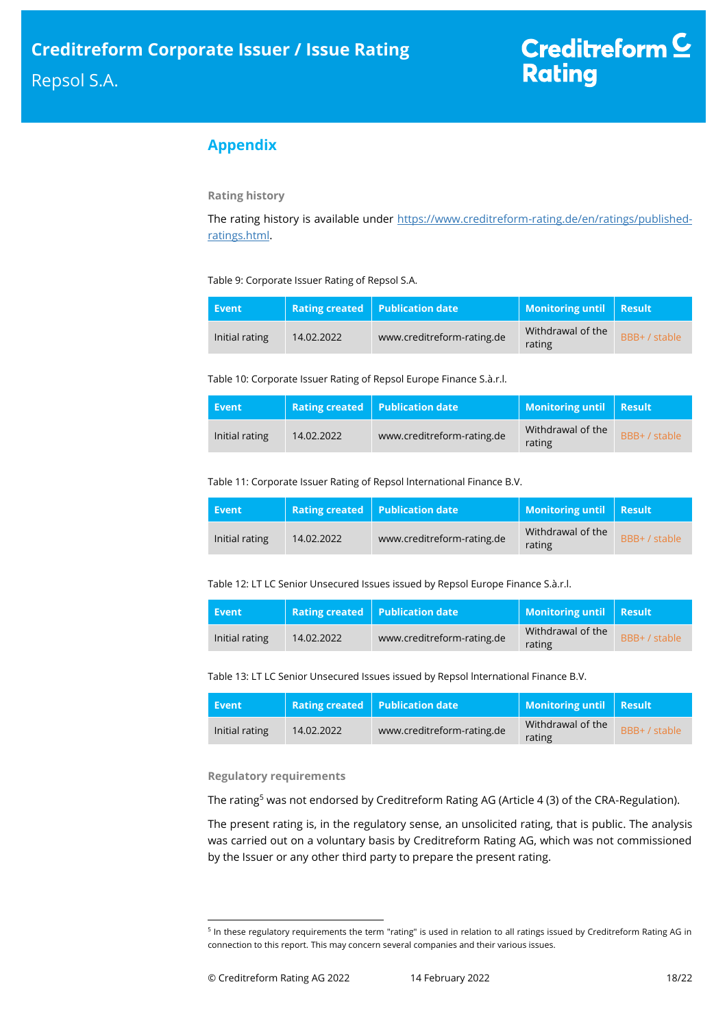# **Appendix**

### **Rating history**

The rating history is available under [https://www.creditreform-rating.de/en/ratings/published](https://www.creditreform-rating.de/en/ratings/published-ratings.html)[ratings.html.](https://www.creditreform-rating.de/en/ratings/published-ratings.html)

Table 9: Corporate Issuer Rating of Repsol S.A.

| Event          |            | Rating created   Publication date | Monitoring until   Result   |               |
|----------------|------------|-----------------------------------|-----------------------------|---------------|
| Initial rating | 14.02.2022 | www.creditreform-rating.de        | Withdrawal of the<br>rating | BBB+ / stable |

Table 10: Corporate Issuer Rating of Repsol Europe Finance S.à.r.l.

| Event          |            | <b>Rating created Publication date</b> | Monitoring until Result     |               |
|----------------|------------|----------------------------------------|-----------------------------|---------------|
| Initial rating | 14.02.2022 | www.creditreform-rating.de             | Withdrawal of the<br>rating | BBB+ / stable |

Table 11: Corporate Issuer Rating of Repsol lnternational Finance B.V.

| Event          |            | <b>Rating created Publication date</b> | Monitoring until   Result   |               |
|----------------|------------|----------------------------------------|-----------------------------|---------------|
| Initial rating | 14.02.2022 | www.creditreform-rating.de             | Withdrawal of the<br>rating | BBB+ / stable |

Table 12: LT LC Senior Unsecured Issues issued by Repsol Europe Finance S.à.r.l.

| Event          |            | Rating created   Publication date | Monitoring until   Result   |               |
|----------------|------------|-----------------------------------|-----------------------------|---------------|
| Initial rating | 14.02.2022 | www.creditreform-rating.de        | Withdrawal of the<br>rating | BBB+ / stable |

Table 13: LT LC Senior Unsecured Issues issued by Repsol lnternational Finance B.V.

| Event          |            | <b>Rating created Publication date</b> | Monitoring until   Result   |               |
|----------------|------------|----------------------------------------|-----------------------------|---------------|
| Initial rating | 14.02.2022 | www.creditreform-rating.de             | Withdrawal of the<br>rating | BBB+ / stable |

### **Regulatory requirements**

The rating<sup>5</sup> was not endorsed by Creditreform Rating AG (Article 4 (3) of the CRA-Regulation).

The present rating is, in the regulatory sense, an unsolicited rating, that is public. The analysis was carried out on a voluntary basis by Creditreform Rating AG, which was not commissioned by the Issuer or any other third party to prepare the present rating.

<sup>&</sup>lt;sup>5</sup> In these regulatory requirements the term "rating" is used in relation to all ratings issued by Creditreform Rating AG in connection to this report. This may concern several companies and their various issues.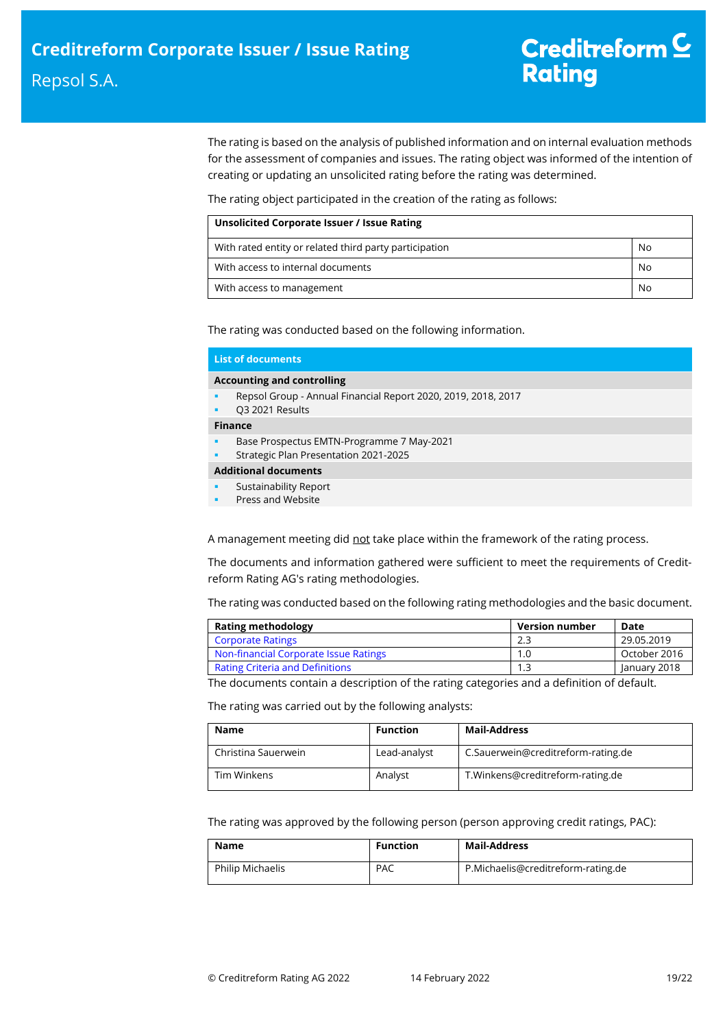The rating is based on the analysis of published information and on internal evaluation methods for the assessment of companies and issues. The rating object was informed of the intention of creating or updating an unsolicited rating before the rating was determined.

The rating object participated in the creation of the rating as follows:

| Unsolicited Corporate Issuer / Issue Rating            |    |  |
|--------------------------------------------------------|----|--|
| With rated entity or related third party participation | No |  |
| With access to internal documents                      | No |  |
| With access to management                              | No |  |

The rating was conducted based on the following information.

| <b>List of documents</b>                                                           |
|------------------------------------------------------------------------------------|
| <b>Accounting and controlling</b>                                                  |
| Repsol Group - Annual Financial Report 2020, 2019, 2018, 2017<br>Q3 2021 Results   |
| <b>Finance</b>                                                                     |
| Base Prospectus EMTN-Programme 7 May-2021<br>Strategic Plan Presentation 2021-2025 |
| <b>Additional documents</b>                                                        |
| Sustainability Report<br>Press and Website                                         |

A management meeting did not take place within the framework of the rating process.

The documents and information gathered were sufficient to meet the requirements of Creditreform Rating AG's rating methodologies.

The rating was conducted based on the following rating methodologies and the basic document.

| 29.05.2019   |
|--------------|
| October 2016 |
| January 2018 |
|              |

The documents contain a description of the rating categories and a definition of default.

The rating was carried out by the following analysts:

| <b>Name</b>         | <b>Function</b> | Mail-Address                       |
|---------------------|-----------------|------------------------------------|
| Christina Sauerwein | Lead-analyst    | C.Sauerwein@creditreform-rating.de |
| Tim Winkens         | Analyst         | T.Winkens@creditreform-rating.de   |

The rating was approved by the following person (person approving credit ratings, PAC):

| Name                    | <b>Function</b> | Mail-Address                       |
|-------------------------|-----------------|------------------------------------|
| <b>Philip Michaelis</b> | <b>PAC</b>      | P.Michaelis@creditreform-rating.de |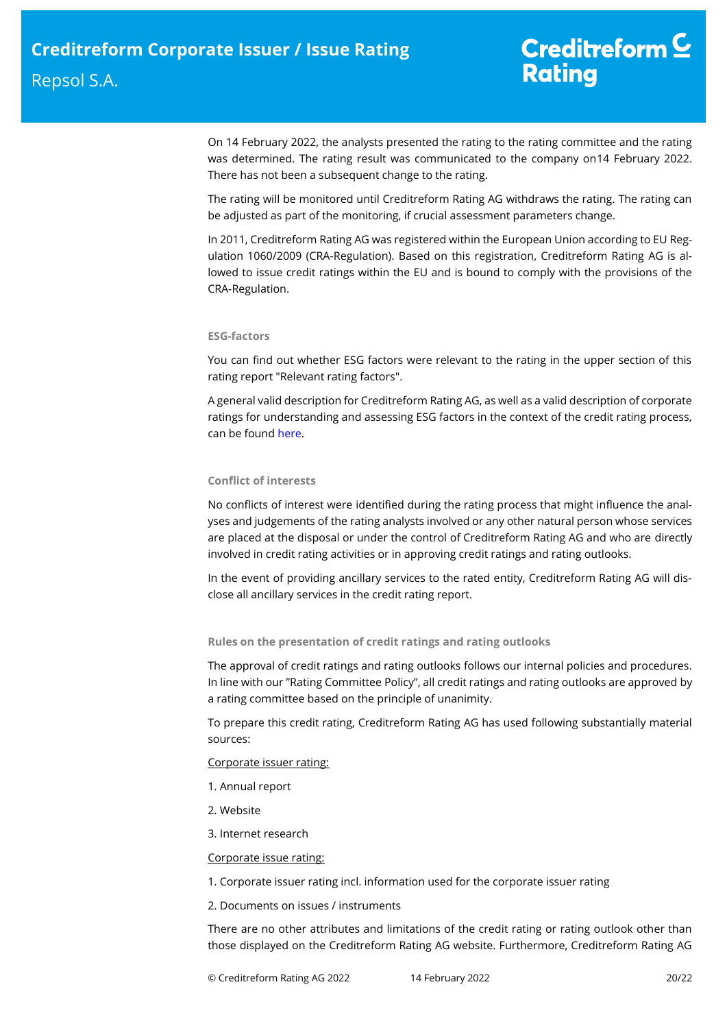# Creditreform  $C$ **Rating**

On 14 February 2022, the analysts presented the rating to the rating committee and the rating was determined. The rating result was communicated to the company on14 February 2022. There has not been a subsequent change to the rating.

The rating will be monitored until Creditreform Rating AG withdraws the rating. The rating can be adjusted as part of the monitoring, if crucial assessment parameters change.

In 2011, Creditreform Rating AG was registered within the European Union according to EU Regulation 1060/2009 (CRA-Regulation). Based on this registration, Creditreform Rating AG is allowed to issue credit ratings within the EU and is bound to comply with the provisions of the CRA-Regulation.

### **ESG-factors**

You can find out whether ESG factors were relevant to the rating in the upper section of this rating report "Relevant rating factors".

A general valid description for Creditreform Rating AG, as well as a valid description of corporate ratings for understanding and assessing ESG factors in the context of the credit rating process, can be foun[d here.](https://creditreform-rating.de/en/about-us/regulatory-requirements.html?file=files/content/downloads/Externes%20Rating/Regulatorische%20Anforderungen/EN/Ratingmethodiken%20EN/The%20Impact%20of%20ESG%20Factors%20on%20Credit%20Ratings.pdf)

### **Conflict of interests**

No conflicts of interest were identified during the rating process that might influence the analyses and judgements of the rating analysts involved or any other natural person whose services are placed at the disposal or under the control of Creditreform Rating AG and who are directly involved in credit rating activities or in approving credit ratings and rating outlooks.

In the event of providing ancillary services to the rated entity, Creditreform Rating AG will disclose all ancillary services in the credit rating report.

### **Rules on the presentation of credit ratings and rating outlooks**

The approval of credit ratings and rating outlooks follows our internal policies and procedures. In line with our "Rating Committee Policy", all credit ratings and rating outlooks are approved by a rating committee based on the principle of unanimity.

To prepare this credit rating, Creditreform Rating AG has used following substantially material sources:

### Corporate issuer rating:

- 1. Annual report
- 2. Website
- 3. Internet research

### Corporate issue rating:

- 1. Corporate issuer rating incl. information used for the corporate issuer rating
- 2. Documents on issues / instruments

There are no other attributes and limitations of the credit rating or rating outlook other than those displayed on the Creditreform Rating AG website. Furthermore, Creditreform Rating AG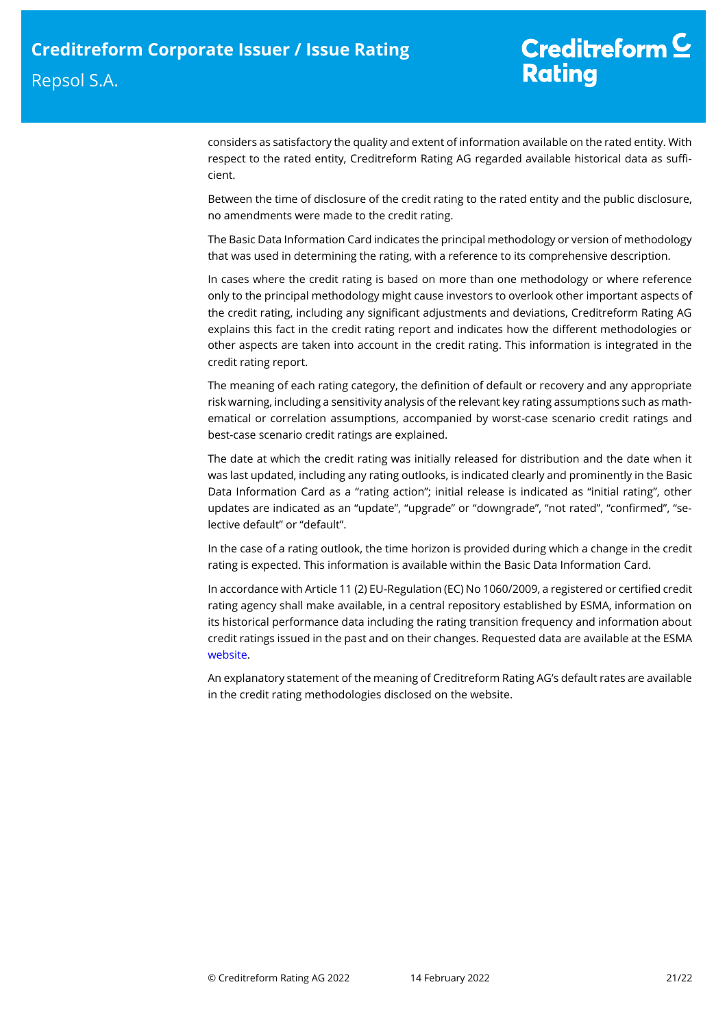considers as satisfactory the quality and extent of information available on the rated entity. With respect to the rated entity, Creditreform Rating AG regarded available historical data as sufficient.

Between the time of disclosure of the credit rating to the rated entity and the public disclosure, no amendments were made to the credit rating.

The Basic Data Information Card indicates the principal methodology or version of methodology that was used in determining the rating, with a reference to its comprehensive description.

In cases where the credit rating is based on more than one methodology or where reference only to the principal methodology might cause investors to overlook other important aspects of the credit rating, including any significant adjustments and deviations, Creditreform Rating AG explains this fact in the credit rating report and indicates how the different methodologies or other aspects are taken into account in the credit rating. This information is integrated in the credit rating report.

The meaning of each rating category, the definition of default or recovery and any appropriate risk warning, including a sensitivity analysis of the relevant key rating assumptions such as mathematical or correlation assumptions, accompanied by worst-case scenario credit ratings and best-case scenario credit ratings are explained.

The date at which the credit rating was initially released for distribution and the date when it was last updated, including any rating outlooks, is indicated clearly and prominently in the Basic Data Information Card as a "rating action"; initial release is indicated as "initial rating", other updates are indicated as an "update", "upgrade" or "downgrade", "not rated", "confirmed", "selective default" or "default".

In the case of a rating outlook, the time horizon is provided during which a change in the credit rating is expected. This information is available within the Basic Data Information Card.

In accordance with Article 11 (2) EU-Regulation (EC) No 1060/2009, a registered or certified credit rating agency shall make available, in a central repository established by ESMA, information on its historical performance data including the rating transition frequency and information about credit ratings issued in the past and on their changes. Requested data are available at the ESMA [website.](https://cerep.esma.europa.eu/cerep-web/statistics/defaults.xhtml)

An explanatory statement of the meaning of Creditreform Rating AG's default rates are available in the credit rating methodologies disclosed on the website.